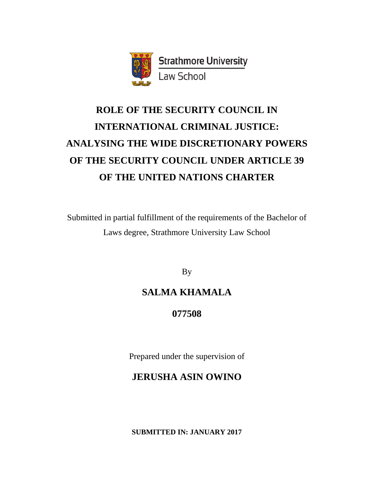

# **ROLE OF THE SECURITY COUNCIL IN INTERNATIONAL CRIMINAL JUSTICE: ANALYSING THE WIDE DISCRETIONARY POWERS OF THE SECURITY COUNCIL UNDER ARTICLE 39 OF THE UNITED NATIONS CHARTER**

Submitted in partial fulfillment of the requirements of the Bachelor of Laws degree, Strathmore University Law School

By

# **SALMA KHAMALA**

**077508**

Prepared under the supervision of

# **JERUSHA ASIN OWINO**

**SUBMITTED IN: JANUARY 2017**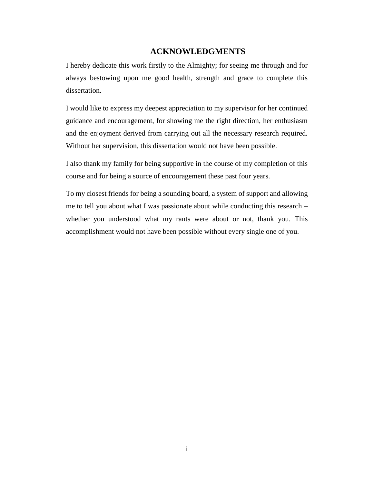### **ACKNOWLEDGMENTS**

<span id="page-1-0"></span>I hereby dedicate this work firstly to the Almighty; for seeing me through and for always bestowing upon me good health, strength and grace to complete this dissertation.

I would like to express my deepest appreciation to my supervisor for her continued guidance and encouragement, for showing me the right direction, her enthusiasm and the enjoyment derived from carrying out all the necessary research required. Without her supervision, this dissertation would not have been possible.

I also thank my family for being supportive in the course of my completion of this course and for being a source of encouragement these past four years.

To my closest friends for being a sounding board, a system of support and allowing me to tell you about what I was passionate about while conducting this research – whether you understood what my rants were about or not, thank you. This accomplishment would not have been possible without every single one of you.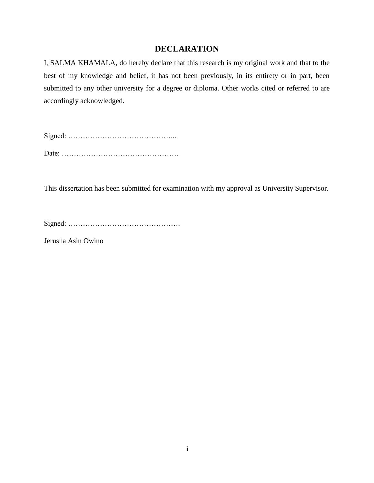### **DECLARATION**

<span id="page-2-0"></span>I, SALMA KHAMALA, do hereby declare that this research is my original work and that to the best of my knowledge and belief, it has not been previously, in its entirety or in part, been submitted to any other university for a degree or diploma. Other works cited or referred to are accordingly acknowledged.

Signed: ……………………………………... Date: …………………………………………

This dissertation has been submitted for examination with my approval as University Supervisor.

Signed: ……………………………………….

Jerusha Asin Owino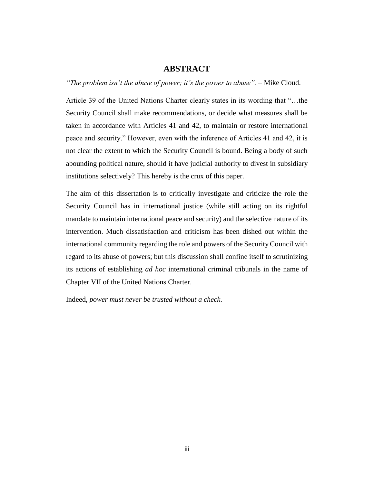#### **ABSTRACT**

<span id="page-3-0"></span>*"The problem isn't the abuse of power; it's the power to abuse".* – Mike Cloud.

Article 39 of the United Nations Charter clearly states in its wording that "…the Security Council shall make recommendations, or decide what measures shall be taken in accordance with Articles 41 and 42, to maintain or restore international peace and security." However, even with the inference of Articles 41 and 42, it is not clear the extent to which the Security Council is bound. Being a body of such abounding political nature, should it have judicial authority to divest in subsidiary institutions selectively? This hereby is the crux of this paper.

The aim of this dissertation is to critically investigate and criticize the role the Security Council has in international justice (while still acting on its rightful mandate to maintain international peace and security) and the selective nature of its intervention. Much dissatisfaction and criticism has been dished out within the international community regarding the role and powers of the Security Council with regard to its abuse of powers; but this discussion shall confine itself to scrutinizing its actions of establishing *ad hoc* international criminal tribunals in the name of Chapter VII of the United Nations Charter.

Indeed, *power must never be trusted without a check*.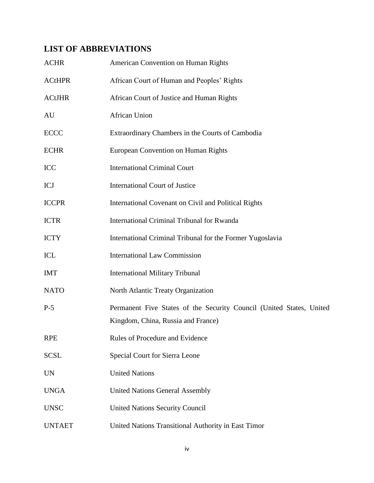# <span id="page-4-0"></span>**LIST OF ABBREVIATIONS**

| <b>ACHR</b>   | American Convention on Human Rights                                                                        |
|---------------|------------------------------------------------------------------------------------------------------------|
| <b>ACtHPR</b> | African Court of Human and Peoples' Rights                                                                 |
| <b>ACtJHR</b> | African Court of Justice and Human Rights                                                                  |
| AU            | <b>African Union</b>                                                                                       |
| ECCC          | Extraordinary Chambers in the Courts of Cambodia                                                           |
| <b>ECHR</b>   | European Convention on Human Rights                                                                        |
| ICC           | <b>International Criminal Court</b>                                                                        |
| ICJ           | <b>International Court of Justice</b>                                                                      |
| <b>ICCPR</b>  | International Covenant on Civil and Political Rights                                                       |
| <b>ICTR</b>   | International Criminal Tribunal for Rwanda                                                                 |
| <b>ICTY</b>   | International Criminal Tribunal for the Former Yugoslavia                                                  |
| ICL           | <b>International Law Commission</b>                                                                        |
| <b>IMT</b>    | <b>International Military Tribunal</b>                                                                     |
| NATO          | North Atlantic Treaty Organization                                                                         |
| $P-5$         | Permanent Five States of the Security Council (United States, United<br>Kingdom, China, Russia and France) |
| <b>RPE</b>    | Rules of Procedure and Evidence                                                                            |
| <b>SCSL</b>   | Special Court for Sierra Leone                                                                             |
| <b>UN</b>     | <b>United Nations</b>                                                                                      |
| <b>UNGA</b>   | <b>United Nations General Assembly</b>                                                                     |
| <b>UNSC</b>   | <b>United Nations Security Council</b>                                                                     |
| <b>UNTAET</b> | United Nations Transitional Authority in East Timor                                                        |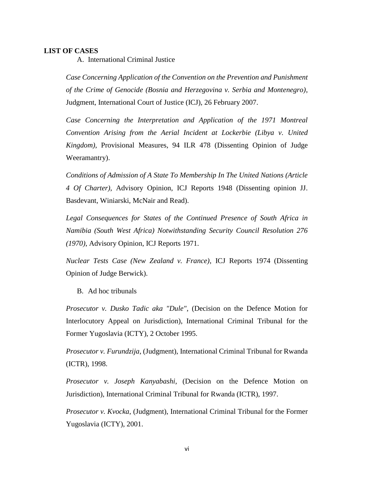#### <span id="page-5-1"></span><span id="page-5-0"></span>**LIST OF CASES**

A. International Criminal Justice

*Case Concerning Application of the Convention on the Prevention and Punishment of the Crime of Genocide (Bosnia and Herzegovina v. Serbia and Montenegro)*, Judgment, International Court of Justice (ICJ), 26 February 2007.

*Case Concerning the Interpretation and Application of the 1971 Montreal Convention Arising from the Aerial Incident at Lockerbie (Libya v. United Kingdom)*, Provisional Measures, 94 ILR 478 (Dissenting Opinion of Judge Weeramantry).

*Conditions of Admission of A State To Membership In The United Nations (Article 4 Of Charter)*, Advisory Opinion, ICJ Reports 1948 (Dissenting opinion JJ. Basdevant, Winiarski, McNair and Read).

*Legal Consequences for States of the Continued Presence of South Africa in Namibia (South West Africa) Notwithstanding Security Council Resolution 276 (1970)*, Advisory Opinion, ICJ Reports 1971.

*Nuclear Tests Case (New Zealand v. France)*, ICJ Reports 1974 (Dissenting Opinion of Judge Berwick).

B. Ad hoc tribunals

<span id="page-5-2"></span>*Prosecutor v. Dusko Tadic aka "Dule"*, (Decision on the Defence Motion for Interlocutory Appeal on Jurisdiction), International Criminal Tribunal for the Former Yugoslavia (ICTY), 2 October 1995.

*Prosecutor v. Furundzija*, (Judgment), International Criminal Tribunal for Rwanda (ICTR), 1998.

*Prosecutor v. Joseph Kanyabashi*, (Decision on the Defence Motion on Jurisdiction), International Criminal Tribunal for Rwanda (ICTR), 1997.

*Prosecutor v. Kvocka*, (Judgment), International Criminal Tribunal for the Former Yugoslavia (ICTY), 2001.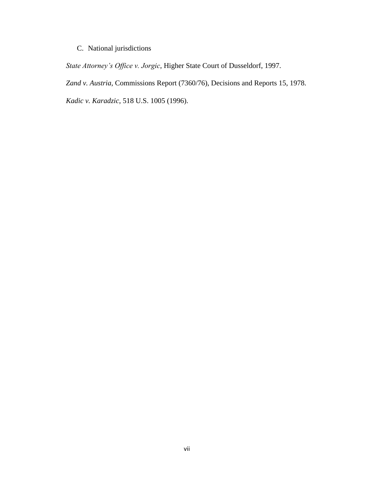### C. National jurisdictions

<span id="page-6-0"></span>*State Attorney's Office v. Jorgic*, Higher State Court of Dusseldorf, 1997.

*Zand v. Austria*, Commissions Report (7360/76), Decisions and Reports 15, 1978.

*Kadic v. Karadzic*, 518 U.S. 1005 (1996).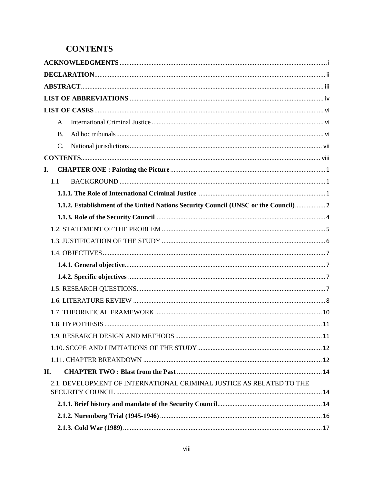## <span id="page-7-0"></span>**CONTENTS**

| $\mathsf{A}$ .                                                                      |  |
|-------------------------------------------------------------------------------------|--|
| <b>B.</b>                                                                           |  |
| C.                                                                                  |  |
|                                                                                     |  |
| I.                                                                                  |  |
| 1.1                                                                                 |  |
|                                                                                     |  |
| 1.1.2. Establishment of the United Nations Security Council (UNSC or the Council) 2 |  |
|                                                                                     |  |
|                                                                                     |  |
|                                                                                     |  |
|                                                                                     |  |
|                                                                                     |  |
|                                                                                     |  |
|                                                                                     |  |
|                                                                                     |  |
|                                                                                     |  |
|                                                                                     |  |
|                                                                                     |  |
|                                                                                     |  |
|                                                                                     |  |
| II.                                                                                 |  |
| 2.1. DEVELOPMENT OF INTERNATIONAL CRIMINAL JUSTICE AS RELATED TO THE                |  |
|                                                                                     |  |
|                                                                                     |  |
|                                                                                     |  |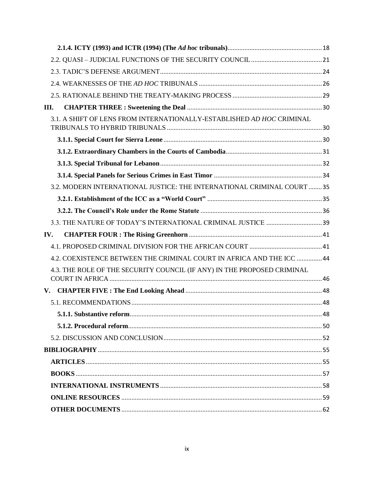| Ш.  |                                                                         |  |
|-----|-------------------------------------------------------------------------|--|
|     | 3.1. A SHIFT OF LENS FROM INTERNATIONALLY-ESTABLISHED AD HOC CRIMINAL   |  |
|     |                                                                         |  |
|     |                                                                         |  |
|     |                                                                         |  |
|     |                                                                         |  |
|     | 3.2. MODERN INTERNATIONAL JUSTICE: THE INTERNATIONAL CRIMINAL COURT  35 |  |
|     |                                                                         |  |
|     |                                                                         |  |
|     |                                                                         |  |
|     |                                                                         |  |
| IV. |                                                                         |  |
|     |                                                                         |  |
|     | 44.2. COEXISTENCE BETWEEN THE CRIMINAL COURT IN AFRICA AND THE ICC  44  |  |
|     | 4.3. THE ROLE OF THE SECURITY COUNCIL (IF ANY) IN THE PROPOSED CRIMINAL |  |
|     |                                                                         |  |
|     |                                                                         |  |
|     |                                                                         |  |
|     |                                                                         |  |
|     |                                                                         |  |
|     |                                                                         |  |
|     |                                                                         |  |
|     |                                                                         |  |
|     |                                                                         |  |
|     |                                                                         |  |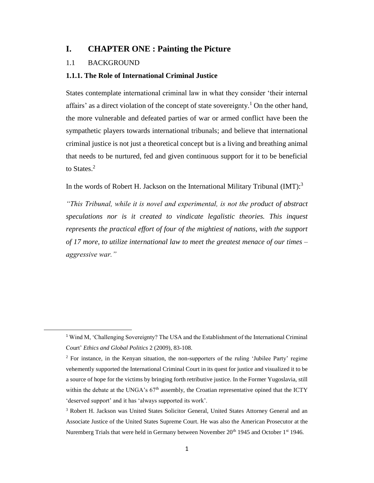#### <span id="page-9-0"></span>**I. CHAPTER ONE : Painting the Picture**

#### <span id="page-9-1"></span>1.1 BACKGROUND

 $\overline{\phantom{a}}$ 

#### <span id="page-9-2"></span>**1.1.1. The Role of International Criminal Justice**

States contemplate international criminal law in what they consider 'their internal affairs' as a direct violation of the concept of state sovereignty.<sup>1</sup> On the other hand, the more vulnerable and defeated parties of war or armed conflict have been the sympathetic players towards international tribunals; and believe that international criminal justice is not just a theoretical concept but is a living and breathing animal that needs to be nurtured, fed and given continuous support for it to be beneficial to States.<sup>2</sup>

In the words of Robert H. Jackson on the International Military Tribunal (IMT):<sup>3</sup>

*"This Tribunal, while it is novel and experimental, is not the product of abstract speculations nor is it created to vindicate legalistic theories. This inquest represents the practical effort of four of the mightiest of nations, with the support of 17 more, to utilize international law to meet the greatest menace of our times – aggressive war."*

<sup>1</sup> Wind M, 'Challenging Sovereignty? The USA and the Establishment of the International Criminal Court' *Ethics and Global Politics* 2 (2009), 83-108.

<sup>&</sup>lt;sup>2</sup> For instance, in the Kenyan situation, the non-supporters of the ruling 'Jubilee Party' regime vehemently supported the International Criminal Court in its quest for justice and visualized it to be a source of hope for the victims by bringing forth retributive justice. In the Former Yugoslavia, still within the debate at the UNGA's 67<sup>th</sup> assembly, the Croatian representative opined that the ICTY 'deserved support' and it has 'always supported its work'.

<sup>&</sup>lt;sup>3</sup> Robert H. Jackson was United States Solicitor General, United States Attorney General and an Associate Justice of the United States Supreme Court. He was also the American Prosecutor at the Nuremberg Trials that were held in Germany between November 20<sup>th</sup> 1945 and October 1<sup>st</sup> 1946.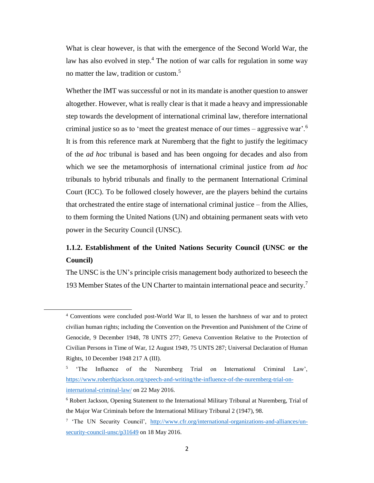What is clear however, is that with the emergence of the Second World War, the law has also evolved in step.<sup>4</sup> The notion of war calls for regulation in some way no matter the law, tradition or custom.<sup>5</sup>

Whether the IMT was successful or not in its mandate is another question to answer altogether. However, what is really clear is that it made a heavy and impressionable step towards the development of international criminal law, therefore international criminal justice so as to 'meet the greatest menace of our times – aggressive war'.<sup>6</sup> It is from this reference mark at Nuremberg that the fight to justify the legitimacy of the *ad hoc* tribunal is based and has been ongoing for decades and also from which we see the metamorphosis of international criminal justice from *ad hoc*  tribunals to hybrid tribunals and finally to the permanent International Criminal Court (ICC). To be followed closely however, are the players behind the curtains that orchestrated the entire stage of international criminal justice – from the Allies, to them forming the United Nations (UN) and obtaining permanent seats with veto power in the Security Council (UNSC).

### <span id="page-10-0"></span>**1.1.2. Establishment of the United Nations Security Council (UNSC or the Council)**

The UNSC is the UN's principle crisis management body authorized to beseech the 193 Member States of the UN Charter to maintain international peace and security.<sup>7</sup>

<sup>4</sup> Conventions were concluded post-World War II, to lessen the harshness of war and to protect civilian human rights; including the Convention on the Prevention and Punishment of the Crime of Genocide, 9 December 1948, 78 UNTS 277; Geneva Convention Relative to the Protection of Civilian Persons in Time of War, 12 August 1949, 75 UNTS 287; Universal Declaration of Human Rights, 10 December 1948 217 A (III).

<sup>&</sup>lt;sup>5</sup> 'The Influence of the Nuremberg Trial on International Criminal Law', [https://www.roberthjackson.org/speech-and-writing/the-influence-of-the-nuremberg-trial-on](https://www.roberthjackson.org/speech-and-writing/the-influence-of-the-nuremberg-trial-on-international-criminal-law/)[international-criminal-law/](https://www.roberthjackson.org/speech-and-writing/the-influence-of-the-nuremberg-trial-on-international-criminal-law/) on 22 May 2016.

<sup>6</sup> Robert Jackson, Opening Statement to the International Military Tribunal at Nuremberg, Trial of the Major War Criminals before the International Military Tribunal 2 (1947), 98.

<sup>&</sup>lt;sup>7</sup> 'The UN Security Council', [http://www.cfr.org/international-organizations-and-alliances/un](http://www.cfr.org/international-organizations-and-alliances/un-security-council-unsc/p31649)[security-council-unsc/p31649](http://www.cfr.org/international-organizations-and-alliances/un-security-council-unsc/p31649) on 18 May 2016.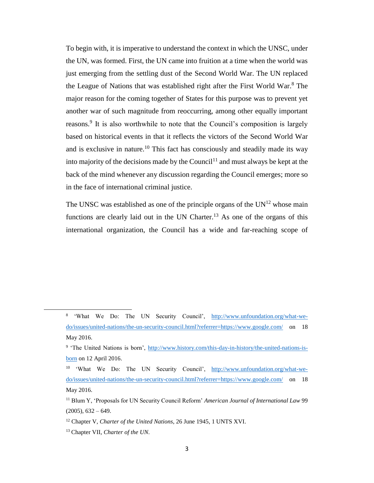To begin with, it is imperative to understand the context in which the UNSC, under the UN, was formed. First, the UN came into fruition at a time when the world was just emerging from the settling dust of the Second World War. The UN replaced the League of Nations that was established right after the First World War.<sup>8</sup> The major reason for the coming together of States for this purpose was to prevent yet another war of such magnitude from reoccurring, among other equally important reasons.<sup>9</sup> It is also worthwhile to note that the Council's composition is largely based on historical events in that it reflects the victors of the Second World War and is exclusive in nature.<sup>10</sup> This fact has consciously and steadily made its way into majority of the decisions made by the Council<sup>11</sup> and must always be kept at the back of the mind whenever any discussion regarding the Council emerges; more so in the face of international criminal justice.

The UNSC was established as one of the principle organs of the  $UN<sup>12</sup>$  whose main functions are clearly laid out in the UN Charter.<sup>13</sup> As one of the organs of this international organization, the Council has a wide and far-reaching scope of

<sup>&</sup>lt;sup>8</sup> 'What We Do: The UN Security Council', [http://www.unfoundation.org/what-we](http://www.unfoundation.org/what-we-do/issues/united-nations/the-un-security-council.html?referrer=https://www.google.com/)[do/issues/united-nations/the-un-security-council.html?referrer=https://www.google.com/](http://www.unfoundation.org/what-we-do/issues/united-nations/the-un-security-council.html?referrer=https://www.google.com/) on 18 May 2016.

<sup>&</sup>lt;sup>9</sup> 'The United Nations is born', [http://www.history.com/this-day-in-history/the-united-nations-is](http://www.history.com/this-day-in-history/the-united-nations-is-born)[born](http://www.history.com/this-day-in-history/the-united-nations-is-born) on 12 April 2016.

<sup>10</sup> 'What We Do: The UN Security Council', [http://www.unfoundation.org/what-we](http://www.unfoundation.org/what-we-do/issues/united-nations/the-un-security-council.html?referrer=https://www.google.com/)[do/issues/united-nations/the-un-security-council.html?referrer=https://www.google.com/](http://www.unfoundation.org/what-we-do/issues/united-nations/the-un-security-council.html?referrer=https://www.google.com/) on 18 May 2016.

<sup>11</sup> Blum Y, 'Proposals for UN Security Council Reform' *American Journal of International Law* 99  $(2005), 632 - 649.$ 

<sup>12</sup> Chapter V, *Charter of the United Nations*, 26 June 1945, 1 UNTS XVI.

<sup>13</sup> Chapter VII, *Charter of the UN*.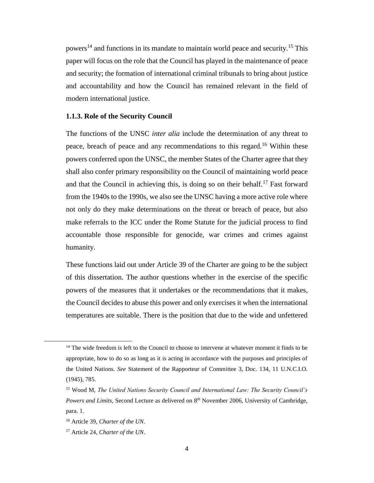powers<sup>14</sup> and functions in its mandate to maintain world peace and security.<sup>15</sup> This paper will focus on the role that the Council has played in the maintenance of peace and security; the formation of international criminal tribunals to bring about justice and accountability and how the Council has remained relevant in the field of modern international justice.

#### <span id="page-12-0"></span>**1.1.3. Role of the Security Council**

The functions of the UNSC *inter alia* include the determination of any threat to peace, breach of peace and any recommendations to this regard.<sup>16</sup> Within these powers conferred upon the UNSC, the member States of the Charter agree that they shall also confer primary responsibility on the Council of maintaining world peace and that the Council in achieving this, is doing so on their behalf.<sup>17</sup> Fast forward from the 1940s to the 1990s, we also see the UNSC having a more active role where not only do they make determinations on the threat or breach of peace, but also make referrals to the ICC under the Rome Statute for the judicial process to find accountable those responsible for genocide, war crimes and crimes against humanity.

These functions laid out under Article 39 of the Charter are going to be the subject of this dissertation. The author questions whether in the exercise of the specific powers of the measures that it undertakes or the recommendations that it makes, the Council decides to abuse this power and only exercises it when the international temperatures are suitable. There is the position that due to the wide and unfettered

<sup>&</sup>lt;sup>14</sup> The wide freedom is left to the Council to choose to intervene at whatever moment it finds to be appropriate, how to do so as long as it is acting in accordance with the purposes and principles of the United Nations. *See* Statement of the Rapporteur of Committee 3, Doc. 134, 11 U.N.C.I.O. (1945), 785.

<sup>15</sup> Wood M, *The United Nations Security Council and International Law: The Security Council's Powers and Limits*, Second Lecture as delivered on 8th November 2006, University of Cambridge, para. 1.

<sup>16</sup> Article 39, *Charter of the UN.*

<sup>17</sup> Article 24, *Charter of the UN*.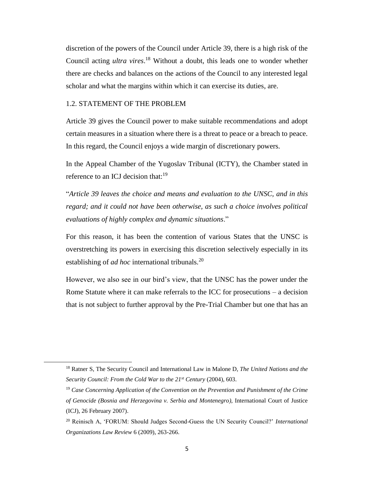discretion of the powers of the Council under Article 39, there is a high risk of the Council acting *ultra vires*. <sup>18</sup> Without a doubt, this leads one to wonder whether there are checks and balances on the actions of the Council to any interested legal scholar and what the margins within which it can exercise its duties, are.

#### <span id="page-13-0"></span>1.2. STATEMENT OF THE PROBLEM

l

Article 39 gives the Council power to make suitable recommendations and adopt certain measures in a situation where there is a threat to peace or a breach to peace. In this regard, the Council enjoys a wide margin of discretionary powers.

In the Appeal Chamber of the Yugoslav Tribunal (ICTY), the Chamber stated in reference to an ICJ decision that: $19$ 

"*Article 39 leaves the choice and means and evaluation to the UNSC, and in this regard; and it could not have been otherwise, as such a choice involves political evaluations of highly complex and dynamic situations*."

For this reason, it has been the contention of various States that the UNSC is overstretching its powers in exercising this discretion selectively especially in its establishing of *ad hoc* international tribunals.<sup>20</sup>

However, we also see in our bird's view, that the UNSC has the power under the Rome Statute where it can make referrals to the ICC for prosecutions – a decision that is not subject to further approval by the Pre-Trial Chamber but one that has an

<sup>18</sup> Ratner S, The Security Council and International Law in Malone D, *The United Nations and the Security Council: From the Cold War to the 21st Century* (2004), 603.

<sup>19</sup> *Case Concerning Application of the Convention on the Prevention and Punishment of the Crime of Genocide (Bosnia and Herzegovina v. Serbia and Montenegro)*, International Court of Justice (ICJ), 26 February 2007).

<sup>20</sup> Reinisch A, 'FORUM: Should Judges Second-Guess the UN Security Council?' *International Organizations Law Review* 6 (2009), 263-266.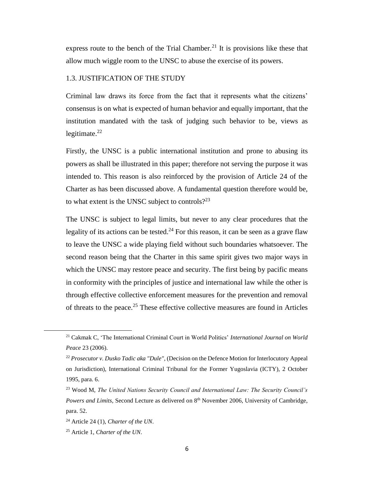express route to the bench of the Trial Chamber.<sup>21</sup> It is provisions like these that allow much wiggle room to the UNSC to abuse the exercise of its powers.

#### <span id="page-14-0"></span>1.3. JUSTIFICATION OF THE STUDY

Criminal law draws its force from the fact that it represents what the citizens' consensus is on what is expected of human behavior and equally important, that the institution mandated with the task of judging such behavior to be, views as legitimate. $^{22}$ 

Firstly, the UNSC is a public international institution and prone to abusing its powers as shall be illustrated in this paper; therefore not serving the purpose it was intended to. This reason is also reinforced by the provision of Article 24 of the Charter as has been discussed above. A fundamental question therefore would be, to what extent is the UNSC subject to controls? $2^{23}$ 

The UNSC is subject to legal limits, but never to any clear procedures that the legality of its actions can be tested.<sup>24</sup> For this reason, it can be seen as a grave flaw to leave the UNSC a wide playing field without such boundaries whatsoever. The second reason being that the Charter in this same spirit gives two major ways in which the UNSC may restore peace and security. The first being by pacific means in conformity with the principles of justice and international law while the other is through effective collective enforcement measures for the prevention and removal of threats to the peace.<sup>25</sup> These effective collective measures are found in Articles

l

<sup>21</sup> Cakmak C, 'The International Criminal Court in World Politics' *International Journal on World Peace* 23 (2006).

<sup>22</sup> *Prosecutor v. Dusko Tadic aka "Dule"*, (Decision on the Defence Motion for Interlocutory Appeal on Jurisdiction), International Criminal Tribunal for the Former Yugoslavia (ICTY), 2 October 1995, para. 6.

<sup>23</sup> Wood M, *The United Nations Security Council and International Law: The Security Council's Powers and Limits*, Second Lecture as delivered on 8th November 2006, University of Cambridge, para. 52.

<sup>24</sup> Article 24 (1), *Charter of the UN*.

<sup>25</sup> Article 1, *Charter of the UN*.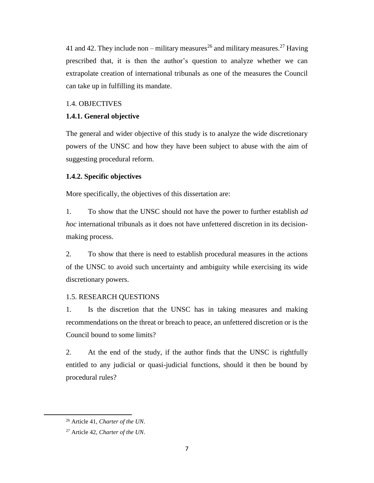41 and 42. They include non – military measures<sup>26</sup> and military measures.<sup>27</sup> Having prescribed that, it is then the author's question to analyze whether we can extrapolate creation of international tribunals as one of the measures the Council can take up in fulfilling its mandate.

#### <span id="page-15-0"></span>1.4. OBJECTIVES

#### <span id="page-15-1"></span>**1.4.1. General objective**

The general and wider objective of this study is to analyze the wide discretionary powers of the UNSC and how they have been subject to abuse with the aim of suggesting procedural reform.

#### <span id="page-15-2"></span>**1.4.2. Specific objectives**

More specifically, the objectives of this dissertation are:

1. To show that the UNSC should not have the power to further establish *ad hoc* international tribunals as it does not have unfettered discretion in its decisionmaking process.

2. To show that there is need to establish procedural measures in the actions of the UNSC to avoid such uncertainty and ambiguity while exercising its wide discretionary powers.

#### <span id="page-15-3"></span>1.5. RESEARCH QUESTIONS

1. Is the discretion that the UNSC has in taking measures and making recommendations on the threat or breach to peace, an unfettered discretion or is the Council bound to some limits?

2. At the end of the study, if the author finds that the UNSC is rightfully entitled to any judicial or quasi-judicial functions, should it then be bound by procedural rules?

 $\overline{\phantom{a}}$ 

<sup>26</sup> Article 41, *Charter of the UN.*

<sup>27</sup> Article 42, *Charter of the UN.*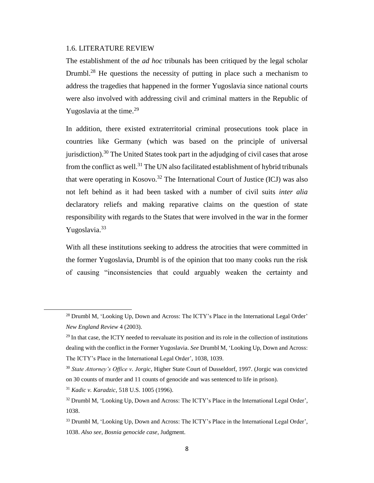#### <span id="page-16-0"></span>1.6. LITERATURE REVIEW

The establishment of the *ad hoc* tribunals has been critiqued by the legal scholar Drumbl.<sup>28</sup> He questions the necessity of putting in place such a mechanism to address the tragedies that happened in the former Yugoslavia since national courts were also involved with addressing civil and criminal matters in the Republic of Yugoslavia at the time.<sup>29</sup>

In addition, there existed extraterritorial criminal prosecutions took place in countries like Germany (which was based on the principle of universal jurisdiction).<sup>30</sup> The United States took part in the adjudging of civil cases that arose from the conflict as well.<sup>31</sup> The UN also facilitated establishment of hybrid tribunals that were operating in Kosovo.<sup>32</sup> The International Court of Justice (ICJ) was also not left behind as it had been tasked with a number of civil suits *inter alia*  declaratory reliefs and making reparative claims on the question of state responsibility with regards to the States that were involved in the war in the former Yugoslavia.<sup>33</sup>

With all these institutions seeking to address the atrocities that were committed in the former Yugoslavia, Drumbl is of the opinion that too many cooks run the risk of causing "inconsistencies that could arguably weaken the certainty and

<sup>31</sup> *Kadic v. Karadzic*, 518 U.S. 1005 (1996).

<sup>&</sup>lt;sup>28</sup> Drumbl M, 'Looking Up, Down and Across: The ICTY's Place in the International Legal Order' *New England Review* 4 (2003).

 $^{29}$  In that case, the ICTY needed to reevaluate its position and its role in the collection of institutions dealing with the conflict in the Former Yugoslavia. *See* Drumbl M, 'Looking Up, Down and Across: The ICTY's Place in the International Legal Order', 1038, 1039.

<sup>30</sup> *State Attorney's Office v. Jorgic*, Higher State Court of Dusseldorf, 1997. (Jorgic was convicted on 30 counts of murder and 11 counts of genocide and was sentenced to life in prison).

<sup>&</sup>lt;sup>32</sup> Drumbl M, 'Looking Up, Down and Across: The ICTY's Place in the International Legal Order', 1038.

<sup>&</sup>lt;sup>33</sup> Drumbl M, 'Looking Up, Down and Across: The ICTY's Place in the International Legal Order', 1038. *Also see*, *Bosnia genocide case*, Judgment.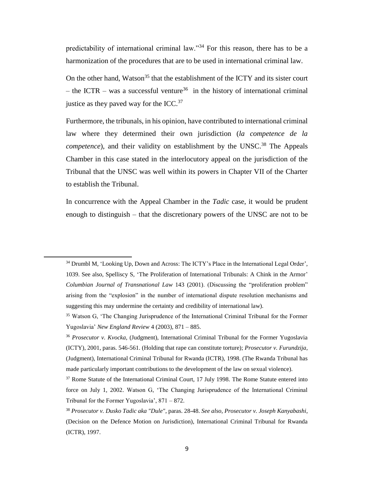predictability of international criminal law."<sup>34</sup> For this reason, there has to be a harmonization of the procedures that are to be used in international criminal law.

On the other hand, Watson<sup>35</sup> that the establishment of the ICTY and its sister court – the ICTR – was a successful venture<sup>36</sup> in the history of international criminal justice as they paved way for the ICC. $37$ 

Furthermore, the tribunals, in his opinion, have contributed to international criminal law where they determined their own jurisdiction (*la competence de la competence*), and their validity on establishment by the UNSC. <sup>38</sup> The Appeals Chamber in this case stated in the interlocutory appeal on the jurisdiction of the Tribunal that the UNSC was well within its powers in Chapter VII of the Charter to establish the Tribunal.

In concurrence with the Appeal Chamber in the *Tadic* case, it would be prudent enough to distinguish – that the discretionary powers of the UNSC are not to be

 $\overline{\phantom{a}}$ 

<sup>&</sup>lt;sup>34</sup> Drumbl M, 'Looking Up, Down and Across: The ICTY's Place in the International Legal Order', 1039. See also, Spelliscy S, 'The Proliferation of International Tribunals: A Chink in the Armor' *Columbian Journal of Transnational Law* 143 (2001). (Discussing the "proliferation problem" arising from the "explosion" in the number of international dispute resolution mechanisms and suggesting this may undermine the certainty and credibility of international law).

<sup>&</sup>lt;sup>35</sup> Watson G, 'The Changing Jurisprudence of the International Criminal Tribunal for the Former Yugoslavia' *New England Review* 4 (2003), 871 – 885.

<sup>36</sup> *Prosecutor v. Kvocka*, (Judgment), International Criminal Tribunal for the Former Yugoslavia (ICTY), 2001, paras. 546-561. (Holding that rape can constitute torture); *Prosecutor v. Furundzija*, (Judgment), International Criminal Tribunal for Rwanda (ICTR), 1998. (The Rwanda Tribunal has made particularly important contributions to the development of the law on sexual violence).

<sup>&</sup>lt;sup>37</sup> Rome Statute of the International Criminal Court, 17 July 1998. The Rome Statute entered into force on July 1, 2002. Watson G, 'The Changing Jurisprudence of the International Criminal Tribunal for the Former Yugoslavia', 871 – 872.

<sup>38</sup> *Prosecutor v. Dusko Tadic aka "Dule"*, paras. 28-48. *See also*, *Prosecutor v. Joseph Kanyabashi*, (Decision on the Defence Motion on Jurisdiction), International Criminal Tribunal for Rwanda (ICTR), 1997.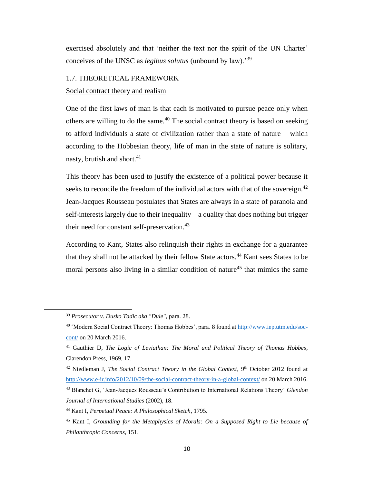exercised absolutely and that 'neither the text nor the spirit of the UN Charter' conceives of the UNSC as *legibus solutus* (unbound by law).'<sup>39</sup>

#### <span id="page-18-0"></span>1.7. THEORETICAL FRAMEWORK

Social contract theory and realism

One of the first laws of man is that each is motivated to pursue peace only when others are willing to do the same.<sup>40</sup> The social contract theory is based on seeking to afford individuals a state of civilization rather than a state of nature – which according to the Hobbesian theory, life of man in the state of nature is solitary, nasty, brutish and short. $41$ 

This theory has been used to justify the existence of a political power because it seeks to reconcile the freedom of the individual actors with that of the sovereign.<sup>42</sup> Jean-Jacques Rousseau postulates that States are always in a state of paranoia and self-interests largely due to their inequality – a quality that does nothing but trigger their need for constant self-preservation.<sup>43</sup>

According to Kant, States also relinquish their rights in exchange for a guarantee that they shall not be attacked by their fellow State actors.<sup>44</sup> Kant sees States to be moral persons also living in a similar condition of nature<sup>45</sup> that mimics the same

<sup>39</sup> *Prosecutor v. Dusko Tadic aka "Dule"*, para. 28.

<sup>40</sup> 'Modern Social Contract Theory: Thomas Hobbes', para. 8 found a[t http://www.iep.utm.edu/soc](http://www.iep.utm.edu/soc-cont/)[cont/](http://www.iep.utm.edu/soc-cont/) on 20 March 2016.

<sup>41</sup> Gauthier D, *The Logic of Leviathan: The Moral and Political Theory of Thomas Hobbes*, Clarendon Press, 1969, 17.

<sup>&</sup>lt;sup>42</sup> Niedleman J, *The Social Contract Theory in the Global Context*, 9<sup>th</sup> October 2012 found at <http://www.e-ir.info/2012/10/09/the-social-contract-theory-in-a-global-context/> on 20 March 2016. <sup>43</sup> Blanchet G, 'Jean-Jacques Rousseau's Contribution to International Relations Theory' *Glendon Journal of International Studies* (2002), 18.

<sup>44</sup> Kant I, *Perpetual Peace: A Philosophical Sketch*, 1795.

<sup>45</sup> Kant I, *Grounding for the Metaphysics of Morals: On a Supposed Right to Lie because of Philanthropic Concerns*, 151.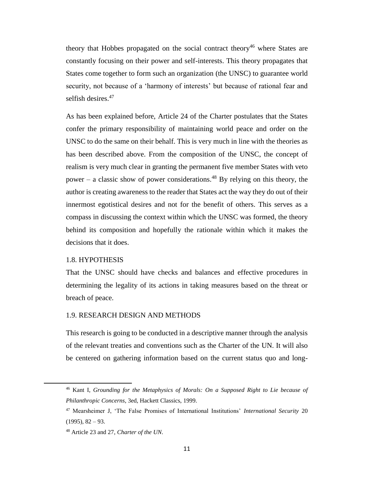theory that Hobbes propagated on the social contract theory<sup>46</sup> where States are constantly focusing on their power and self-interests. This theory propagates that States come together to form such an organization (the UNSC) to guarantee world security, not because of a 'harmony of interests' but because of rational fear and selfish desires.<sup>47</sup>

As has been explained before, Article 24 of the Charter postulates that the States confer the primary responsibility of maintaining world peace and order on the UNSC to do the same on their behalf. This is very much in line with the theories as has been described above. From the composition of the UNSC, the concept of realism is very much clear in granting the permanent five member States with veto power – a classic show of power considerations.<sup>48</sup> By relying on this theory, the author is creating awareness to the reader that States act the way they do out of their innermost egotistical desires and not for the benefit of others. This serves as a compass in discussing the context within which the UNSC was formed, the theory behind its composition and hopefully the rationale within which it makes the decisions that it does.

#### <span id="page-19-0"></span>1.8. HYPOTHESIS

 $\overline{a}$ 

That the UNSC should have checks and balances and effective procedures in determining the legality of its actions in taking measures based on the threat or breach of peace.

#### <span id="page-19-1"></span>1.9. RESEARCH DESIGN AND METHODS

This research is going to be conducted in a descriptive manner through the analysis of the relevant treaties and conventions such as the Charter of the UN. It will also be centered on gathering information based on the current status quo and long-

<sup>46</sup> Kant I, *Grounding for the Metaphysics of Morals: On a Supposed Right to Lie because of Philanthropic Concerns*, 3ed, Hackett Classics, 1999.

<sup>47</sup> Mearsheimer J, 'The False Promises of International Institutions' *International Security* 20  $(1995), 82 - 93.$ 

<sup>48</sup> Article 23 and 27, *Charter of the UN*.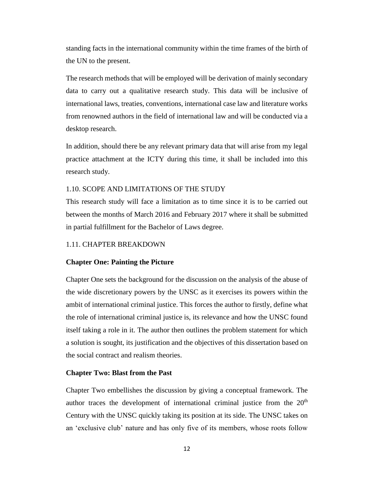standing facts in the international community within the time frames of the birth of the UN to the present.

The research methods that will be employed will be derivation of mainly secondary data to carry out a qualitative research study. This data will be inclusive of international laws, treaties, conventions, international case law and literature works from renowned authors in the field of international law and will be conducted via a desktop research.

In addition, should there be any relevant primary data that will arise from my legal practice attachment at the ICTY during this time, it shall be included into this research study.

#### <span id="page-20-0"></span>1.10. SCOPE AND LIMITATIONS OF THE STUDY

This research study will face a limitation as to time since it is to be carried out between the months of March 2016 and February 2017 where it shall be submitted in partial fulfillment for the Bachelor of Laws degree.

#### <span id="page-20-1"></span>1.11. CHAPTER BREAKDOWN

#### **Chapter One: Painting the Picture**

Chapter One sets the background for the discussion on the analysis of the abuse of the wide discretionary powers by the UNSC as it exercises its powers within the ambit of international criminal justice. This forces the author to firstly, define what the role of international criminal justice is, its relevance and how the UNSC found itself taking a role in it. The author then outlines the problem statement for which a solution is sought, its justification and the objectives of this dissertation based on the social contract and realism theories.

#### **Chapter Two: Blast from the Past**

Chapter Two embellishes the discussion by giving a conceptual framework. The author traces the development of international criminal justice from the  $20<sup>th</sup>$ Century with the UNSC quickly taking its position at its side. The UNSC takes on an 'exclusive club' nature and has only five of its members, whose roots follow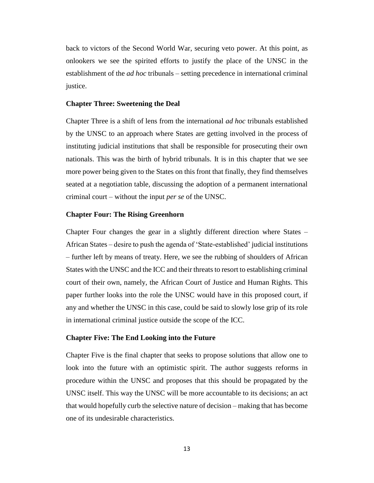back to victors of the Second World War, securing veto power. At this point, as onlookers we see the spirited efforts to justify the place of the UNSC in the establishment of the *ad hoc* tribunals – setting precedence in international criminal justice.

#### **Chapter Three: Sweetening the Deal**

Chapter Three is a shift of lens from the international *ad hoc* tribunals established by the UNSC to an approach where States are getting involved in the process of instituting judicial institutions that shall be responsible for prosecuting their own nationals. This was the birth of hybrid tribunals. It is in this chapter that we see more power being given to the States on this front that finally, they find themselves seated at a negotiation table, discussing the adoption of a permanent international criminal court – without the input *per se* of the UNSC.

#### **Chapter Four: The Rising Greenhorn**

Chapter Four changes the gear in a slightly different direction where States – African States – desire to push the agenda of 'State-established' judicial institutions – further left by means of treaty. Here, we see the rubbing of shoulders of African States with the UNSC and the ICC and their threats to resort to establishing criminal court of their own, namely, the African Court of Justice and Human Rights. This paper further looks into the role the UNSC would have in this proposed court, if any and whether the UNSC in this case, could be said to slowly lose grip of its role in international criminal justice outside the scope of the ICC.

#### **Chapter Five: The End Looking into the Future**

Chapter Five is the final chapter that seeks to propose solutions that allow one to look into the future with an optimistic spirit. The author suggests reforms in procedure within the UNSC and proposes that this should be propagated by the UNSC itself. This way the UNSC will be more accountable to its decisions; an act that would hopefully curb the selective nature of decision – making that has become one of its undesirable characteristics.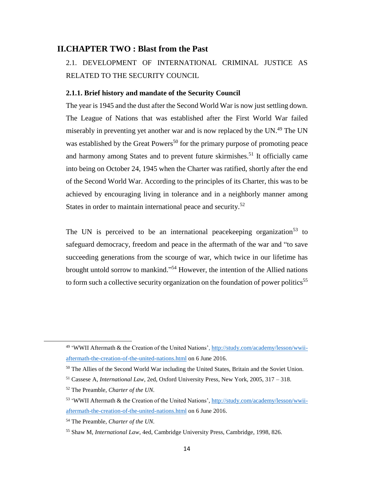#### <span id="page-22-1"></span><span id="page-22-0"></span>**II.CHAPTER TWO : Blast from the Past**

2.1. DEVELOPMENT OF INTERNATIONAL CRIMINAL JUSTICE AS RELATED TO THE SECURITY COUNCIL

#### <span id="page-22-2"></span>**2.1.1. Brief history and mandate of the Security Council**

The year is 1945 and the dust after the Second World War is now just settling down. The League of Nations that was established after the First World War failed miserably in preventing yet another war and is now replaced by the UN.<sup>49</sup> The UN was established by the Great Powers<sup>50</sup> for the primary purpose of promoting peace and harmony among States and to prevent future skirmishes.<sup>51</sup> It officially came into being on October 24, 1945 when the Charter was ratified, shortly after the end of the Second World War. According to the principles of its Charter, this was to be achieved by encouraging living in tolerance and in a neighborly manner among States in order to maintain international peace and security.<sup>52</sup>

The UN is perceived to be an international peace keeping organization<sup>53</sup> to safeguard democracy, freedom and peace in the aftermath of the war and "to save succeeding generations from the scourge of war, which twice in our lifetime has brought untold sorrow to mankind." <sup>54</sup> However, the intention of the Allied nations to form such a collective security organization on the foundation of power politics<sup>55</sup>

<sup>&</sup>lt;sup>49</sup> 'WWII Aftermath & the Creation of the United Nations'[, http://study.com/academy/lesson/wwii](http://study.com/academy/lesson/wwii-aftermath-the-creation-of-the-united-nations.html)[aftermath-the-creation-of-the-united-nations.html](http://study.com/academy/lesson/wwii-aftermath-the-creation-of-the-united-nations.html) on 6 June 2016.

<sup>&</sup>lt;sup>50</sup> The Allies of the Second World War including the United States, Britain and the Soviet Union.

<sup>51</sup> Cassese A, *International Law*, 2ed, Oxford University Press, New York, 2005, 317 – 318.

<sup>52</sup> The Preamble, *Charter of the UN.*

<sup>&</sup>lt;sup>53</sup> 'WWII Aftermath & the Creation of the United Nations'[, http://study.com/academy/lesson/wwii](http://study.com/academy/lesson/wwii-aftermath-the-creation-of-the-united-nations.html)[aftermath-the-creation-of-the-united-nations.html](http://study.com/academy/lesson/wwii-aftermath-the-creation-of-the-united-nations.html) on 6 June 2016.

<sup>54</sup> The Preamble, *Charter of the UN.*

<sup>55</sup> Shaw M, *International Law*, 4ed, Cambridge University Press, Cambridge, 1998, 826.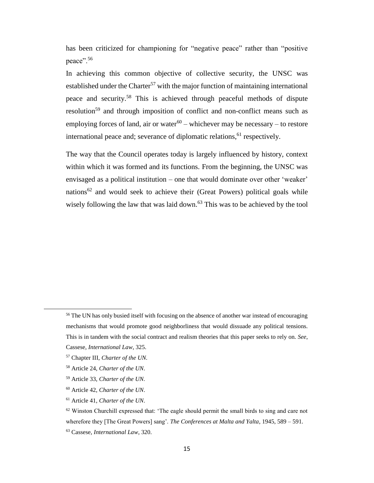has been criticized for championing for "negative peace" rather than "positive peace".<sup>56</sup>

In achieving this common objective of collective security, the UNSC was established under the Charter<sup>57</sup> with the major function of maintaining international peace and security.<sup>58</sup> This is achieved through peaceful methods of dispute resolution<sup>59</sup> and through imposition of conflict and non-conflict means such as employing forces of land, air or water $60 -$  whichever may be necessary  $-$  to restore international peace and; severance of diplomatic relations, <sup>61</sup> respectively.

The way that the Council operates today is largely influenced by history, context within which it was formed and its functions. From the beginning, the UNSC was envisaged as a political institution – one that would dominate over other 'weaker' nations<sup>62</sup> and would seek to achieve their (Great Powers) political goals while wisely following the law that was laid down.<sup>63</sup> This was to be achieved by the tool

l

<sup>&</sup>lt;sup>56</sup> The UN has only busied itself with focusing on the absence of another war instead of encouraging mechanisms that would promote good neighborliness that would dissuade any political tensions. This is in tandem with the social contract and realism theories that this paper seeks to rely on. *See*, Cassese, *International Law*, 325.

<sup>57</sup> Chapter III, *Charter of the UN.*

<sup>58</sup> Article 24, *Charter of the UN.*

<sup>59</sup> Article 33, *Charter of the UN.*

<sup>60</sup> Article 42, *Charter of the UN.*

<sup>61</sup> Article 41, *Charter of the UN.*

 $62$  Winston Churchill expressed that: 'The eagle should permit the small birds to sing and care not wherefore they [The Great Powers] sang'. *The Conferences at Malta and Yalta*, 1945, 589 – 591.

<sup>63</sup> Cassese, *International Law*, 320.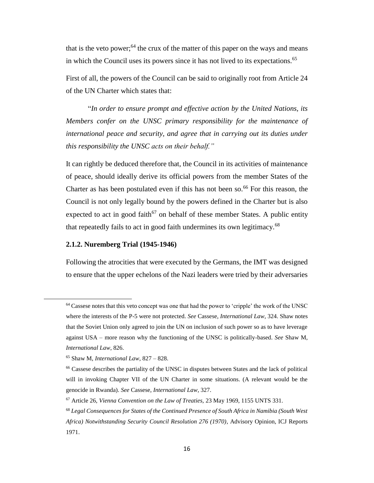that is the veto power;<sup>64</sup> the crux of the matter of this paper on the ways and means in which the Council uses its powers since it has not lived to its expectations.<sup>65</sup>

First of all, the powers of the Council can be said to originally root from Article 24 of the UN Charter which states that:

"*In order to ensure prompt and effective action by the United Nations, its Members confer on the UNSC primary responsibility for the maintenance of international peace and security, and agree that in carrying out its duties under this responsibility the UNSC acts on their behalf."*

It can rightly be deduced therefore that, the Council in its activities of maintenance of peace, should ideally derive its official powers from the member States of the Charter as has been postulated even if this has not been so.<sup>66</sup> For this reason, the Council is not only legally bound by the powers defined in the Charter but is also expected to act in good faith<sup>67</sup> on behalf of these member States. A public entity that repeatedly fails to act in good faith undermines its own legitimacy.<sup>68</sup>

#### <span id="page-24-0"></span>**2.1.2. Nuremberg Trial (1945-1946)**

Following the atrocities that were executed by the Germans, the IMT was designed to ensure that the upper echelons of the Nazi leaders were tried by their adversaries

 $\overline{\phantom{a}}$ 

<sup>&</sup>lt;sup>64</sup> Cassese notes that this veto concept was one that had the power to 'cripple' the work of the UNSC where the interests of the P-5 were not protected. *See* Cassese, *International Law*, 324. Shaw notes that the Soviet Union only agreed to join the UN on inclusion of such power so as to have leverage against USA – more reason why the functioning of the UNSC is politically-based. *See* Shaw M, *International Law*, 826.

<sup>65</sup> Shaw M, *International Law*, 827 – 828.

<sup>66</sup> Cassese describes the partiality of the UNSC in disputes between States and the lack of political will in invoking Chapter VII of the UN Charter in some situations. (A relevant would be the genocide in Rwanda). *See* Cassese, *International Law*, 327.

<sup>67</sup> Article 26, *Vienna Convention on the Law of Treaties,* 23 May 1969, 1155 UNTS 331.

<sup>68</sup> *Legal Consequences for States of the Continued Presence of South Africa in Namibia (South West Africa) Notwithstanding Security Council Resolution 276 (1970)*, Advisory Opinion, ICJ Reports 1971.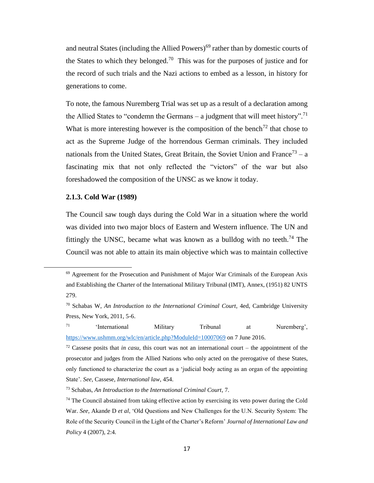and neutral States (including the Allied Powers)<sup>69</sup> rather than by domestic courts of the States to which they belonged.<sup>70</sup> This was for the purposes of justice and for the record of such trials and the Nazi actions to embed as a lesson, in history for generations to come.

To note, the famous Nuremberg Trial was set up as a result of a declaration among the Allied States to "condemn the Germans – a judgment that will meet history".<sup>71</sup> What is more interesting however is the composition of the bench<sup>72</sup> that chose to act as the Supreme Judge of the horrendous German criminals. They included nationals from the United States, Great Britain, the Soviet Union and France<sup>73</sup> – a fascinating mix that not only reflected the "victors" of the war but also foreshadowed the composition of the UNSC as we know it today.

#### <span id="page-25-0"></span>**2.1.3. Cold War (1989)**

 $\overline{a}$ 

The Council saw tough days during the Cold War in a situation where the world was divided into two major blocs of Eastern and Western influence. The UN and fittingly the UNSC, became what was known as a bulldog with no teeth.<sup>74</sup> The Council was not able to attain its main objective which was to maintain collective

<sup>69</sup> Agreement for the Prosecution and Punishment of Major War Criminals of the European Axis and Establishing the Charter of the International Military Tribunal (IMT), Annex, (1951) 82 UNTS 279.

<sup>70</sup> Schabas W, *An Introduction to the International Criminal Court*, 4ed, Cambridge University Press, New York, 2011, 5-6.

<sup>71</sup> 'International Military Tribunal at Nuremberg', <https://www.ushmm.org/wlc/en/article.php?ModuleId=10007069> on 7 June 2016.

 $72$  Cassese posits that *in casu*, this court was not an international court – the appointment of the prosecutor and judges from the Allied Nations who only acted on the prerogative of these States, only functioned to characterize the court as a 'judicial body acting as an organ of the appointing State'. *See*, Cassese, *International law*, 454.

<sup>73</sup> Schabas, *An Introduction to the International Criminal Court*, 7.

<sup>74</sup> The Council abstained from taking effective action by exercising its veto power during the Cold War. *See,* Akande D *et al*, 'Old Questions and New Challenges for the U.N. Security System: The Role of the Security Council in the Light of the Charter's Reform' *Journal of International Law and Policy* 4 (2007), 2:4.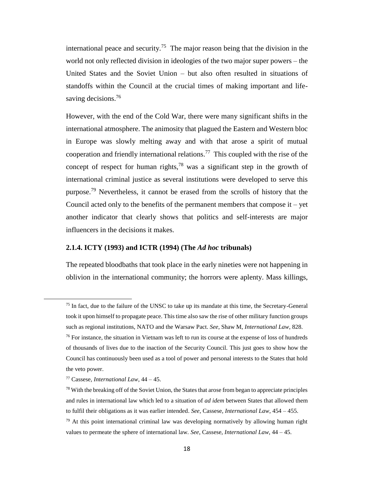international peace and security.<sup>75</sup> The major reason being that the division in the world not only reflected division in ideologies of the two major super powers – the United States and the Soviet Union – but also often resulted in situations of standoffs within the Council at the crucial times of making important and lifesaving decisions.<sup>76</sup>

However, with the end of the Cold War, there were many significant shifts in the international atmosphere. The animosity that plagued the Eastern and Western bloc in Europe was slowly melting away and with that arose a spirit of mutual cooperation and friendly international relations.<sup>77</sup> This coupled with the rise of the concept of respect for human rights,<sup>78</sup> was a significant step in the growth of international criminal justice as several institutions were developed to serve this purpose.<sup>79</sup> Nevertheless, it cannot be erased from the scrolls of history that the Council acted only to the benefits of the permanent members that compose  $it - yet$ another indicator that clearly shows that politics and self-interests are major influencers in the decisions it makes.

#### <span id="page-26-0"></span>**2.1.4. ICTY (1993) and ICTR (1994) (The** *Ad hoc* **tribunals)**

The repeated bloodbaths that took place in the early nineties were not happening in oblivion in the international community; the horrors were aplenty. Mass killings,

 $\overline{\phantom{a}}$ 

<sup>&</sup>lt;sup>75</sup> In fact, due to the failure of the UNSC to take up its mandate at this time, the Secretary-General took it upon himself to propagate peace. This time also saw the rise of other military function groups such as regional institutions, NATO and the Warsaw Pact. *See*, Shaw M, *International Law*, 828.

 $76$  For instance, the situation in Vietnam was left to run its course at the expense of loss of hundreds of thousands of lives due to the inaction of the Security Council. This just goes to show how the Council has continuously been used as a tool of power and personal interests to the States that hold the veto power.

<sup>77</sup> Cassese, *International Law*, 44 – 45.

 $78$  With the breaking off of the Soviet Union, the States that arose from began to appreciate principles and rules in international law which led to a situation of *ad idem* between States that allowed them to fulfil their obligations as it was earlier intended. *See*, Cassese, *International Law*, 454 – 455.

 $79$  At this point international criminal law was developing normatively by allowing human right values to permeate the sphere of international law. *See*, Cassese, *International Law*, 44 – 45.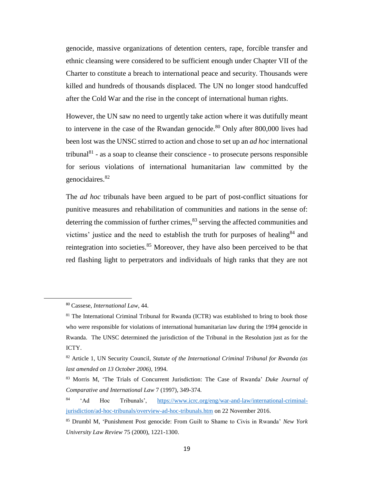genocide, massive organizations of detention centers, rape, forcible transfer and ethnic cleansing were considered to be sufficient enough under Chapter VII of the Charter to constitute a breach to international peace and security. Thousands were killed and hundreds of thousands displaced. The UN no longer stood handcuffed after the Cold War and the rise in the concept of international human rights.

However, the UN saw no need to urgently take action where it was dutifully meant to intervene in the case of the Rwandan genocide.<sup>80</sup> Only after 800,000 lives had been lost was the UNSC stirred to action and chose to set up an *ad hoc* international tribunal $81$  - as a soap to cleanse their conscience - to prosecute persons responsible for serious violations of international humanitarian law committed by the genocidaires. 82

The *ad hoc* tribunals have been argued to be part of post-conflict situations for punitive measures and rehabilitation of communities and nations in the sense of: deterring the commission of further crimes,  $83$  serving the affected communities and victims' justice and the need to establish the truth for purposes of healing $84$  and reintegration into societies.<sup>85</sup> Moreover, they have also been perceived to be that red flashing light to perpetrators and individuals of high ranks that they are not

 $\overline{\phantom{a}}$ 

<sup>80</sup> Cassese, *International Law*, 44.

 $81$  The International Criminal Tribunal for Rwanda (ICTR) was established to bring to book those who were responsible for violations of international humanitarian law during the 1994 genocide in Rwanda. The UNSC determined the jurisdiction of the Tribunal in the Resolution just as for the ICTY.

<sup>82</sup> Article 1, UN Security Council, *Statute of the International Criminal Tribunal for Rwanda (as last amended on 13 October 2006)*, 1994.

<sup>83</sup> Morris M, 'The Trials of Concurrent Jurisdiction: The Case of Rwanda' *Duke Journal of Comparative and International Law* 7 (1997), 349-374.

<sup>84</sup> 'Ad Hoc Tribunals', [https://www.icrc.org/eng/war-and-law/international-criminal](https://www.icrc.org/eng/war-and-law/international-criminal-jurisdiction/ad-hoc-tribunals/overview-ad-hoc-tribunals.htm)[jurisdiction/ad-hoc-tribunals/overview-ad-hoc-tribunals.htm](https://www.icrc.org/eng/war-and-law/international-criminal-jurisdiction/ad-hoc-tribunals/overview-ad-hoc-tribunals.htm) on 22 November 2016.

<sup>85</sup> Drumbl M, 'Punishment Post genocide: From Guilt to Shame to Civis in Rwanda' *New York University Law Review* 75 (2000), 1221-1300.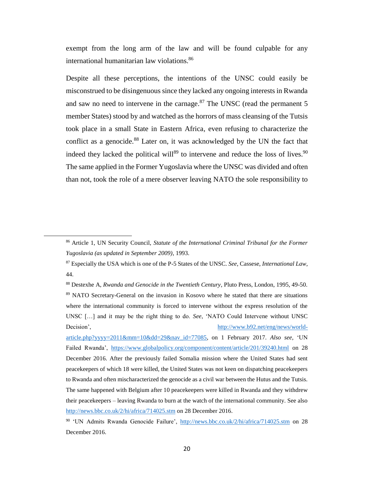exempt from the long arm of the law and will be found culpable for any international humanitarian law violations. 86

Despite all these perceptions, the intentions of the UNSC could easily be misconstrued to be disingenuous since they lacked any ongoing interests in Rwanda and saw no need to intervene in the carnage.<sup>87</sup> The UNSC (read the permanent 5 member States) stood by and watched as the horrors of mass cleansing of the Tutsis took place in a small State in Eastern Africa, even refusing to characterize the conflict as a genocide.<sup>88</sup> Later on, it was acknowledged by the UN the fact that indeed they lacked the political will<sup>89</sup> to intervene and reduce the loss of lives.<sup>90</sup> The same applied in the Former Yugoslavia where the UNSC was divided and often than not, took the role of a mere observer leaving NATO the sole responsibility to

<sup>86</sup> Article 1, UN Security Council, *Statute of the International Criminal Tribunal for the Former Yugoslavia (as updated in September 2009)*, 1993.

<sup>87</sup> Especially the USA which is one of the P-5 States of the UNSC. *See*, Cassese, *International Law*, 44.

<sup>88</sup> Destexhe A, *Rwanda and Genocide in the Twentieth Century*, Pluto Press, London, 1995, 49-50. <sup>89</sup> NATO Secretary-General on the invasion in Kosovo where he stated that there are situations where the international community is forced to intervene without the express resolution of the UNSC […] and it may be the right thing to do. *See*, 'NATO Could Intervene without UNSC Decision', [http://www.b92.net/eng/news/world-](http://www.b92.net/eng/news/world-article.php?yyyy=2011&mm=10&dd=29&nav_id=77085)

[article.php?yyyy=2011&mm=10&dd=29&nav\\_id=77085,](http://www.b92.net/eng/news/world-article.php?yyyy=2011&mm=10&dd=29&nav_id=77085) on 1 February 2017. *Also see*, 'UN Failed Rwanda', <https://www.globalpolicy.org/component/content/article/201/39240.html> on 28 December 2016. After the previously failed Somalia mission where the United States had sent peacekeepers of which 18 were killed, the United States was not keen on dispatching peacekeepers to Rwanda and often mischaracterized the genocide as a civil war between the Hutus and the Tutsis. The same happened with Belgium after 10 peacekeepers were killed in Rwanda and they withdrew their peacekeepers – leaving Rwanda to burn at the watch of the international community. See also <http://news.bbc.co.uk/2/hi/africa/714025.stm> on 28 December 2016.

<sup>90</sup> 'UN Admits Rwanda Genocide Failure', <http://news.bbc.co.uk/2/hi/africa/714025.stm> on 28 December 2016.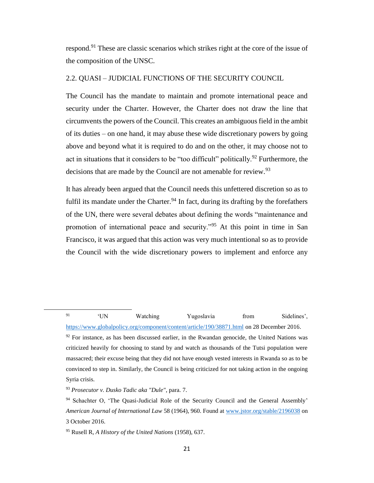respond.<sup>91</sup> These are classic scenarios which strikes right at the core of the issue of the composition of the UNSC.

#### <span id="page-29-0"></span>2.2. QUASI – JUDICIAL FUNCTIONS OF THE SECURITY COUNCIL

The Council has the mandate to maintain and promote international peace and security under the Charter. However, the Charter does not draw the line that circumvents the powers of the Council. This creates an ambiguous field in the ambit of its duties – on one hand, it may abuse these wide discretionary powers by going above and beyond what it is required to do and on the other, it may choose not to act in situations that it considers to be "too difficult" politically.<sup>92</sup> Furthermore, the decisions that are made by the Council are not amenable for review.<sup>93</sup>

It has already been argued that the Council needs this unfettered discretion so as to fulfil its mandate under the Charter.<sup>94</sup> In fact, during its drafting by the forefathers of the UN, there were several debates about defining the words "maintenance and promotion of international peace and security."<sup>95</sup> At this point in time in San Francisco, it was argued that this action was very much intentional so as to provide the Council with the wide discretionary powers to implement and enforce any

<sup>91</sup> 'UN Watching Yugoslavia from Sidelines', <https://www.globalpolicy.org/component/content/article/190/38871.html> on 28 December 2016.

 $92$  For instance, as has been discussed earlier, in the Rwandan genocide, the United Nations was criticized heavily for choosing to stand by and watch as thousands of the Tutsi population were massacred; their excuse being that they did not have enough vested interests in Rwanda so as to be convinced to step in. Similarly, the Council is being criticized for not taking action in the ongoing Syria crisis.

<sup>93</sup> *Prosecutor v. Dusko Tadic aka "Dule"*, para. 7.

<sup>&</sup>lt;sup>94</sup> Schachter O, 'The Quasi-Judicial Role of the Security Council and the General Assembly' *American Journal of International Law* 58 (1964), 960. Found at [www.jstor.org/stable/2196038](http://www.jstor.org/stable/2196038) on 3 October 2016.

<sup>95</sup> Rusell R, *A History of the United Nations* (1958), 637.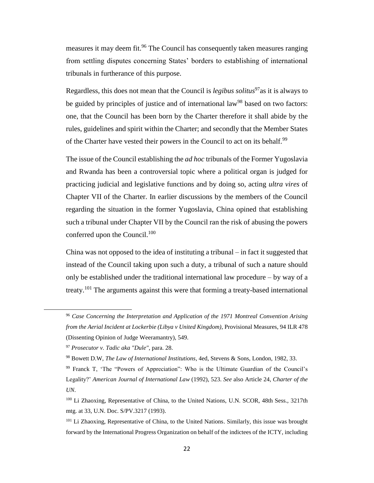measures it may deem fit.<sup>96</sup> The Council has consequently taken measures ranging from settling disputes concerning States' borders to establishing of international tribunals in furtherance of this purpose.

Regardless, this does not mean that the Council is *legibus solitus*<sup>97</sup>as it is always to be guided by principles of justice and of international law<sup>98</sup> based on two factors: one, that the Council has been born by the Charter therefore it shall abide by the rules, guidelines and spirit within the Charter; and secondly that the Member States of the Charter have vested their powers in the Council to act on its behalf.<sup>99</sup>

The issue of the Council establishing the *ad hoc* tribunals of the Former Yugoslavia and Rwanda has been a controversial topic where a political organ is judged for practicing judicial and legislative functions and by doing so, acting *ultra vires* of Chapter VII of the Charter. In earlier discussions by the members of the Council regarding the situation in the former Yugoslavia, China opined that establishing such a tribunal under Chapter VII by the Council ran the risk of abusing the powers conferred upon the Council. $100$ 

China was not opposed to the idea of instituting a tribunal – in fact it suggested that instead of the Council taking upon such a duty, a tribunal of such a nature should only be established under the traditional international law procedure – by way of a treaty.<sup>101</sup> The arguments against this were that forming a treaty-based international

<sup>96</sup> *Case Concerning the Interpretation and Application of the 1971 Montreal Convention Arising from the Aerial Incident at Lockerbie (Libya v United Kingdom)*, Provisional Measures, 94 ILR 478 (Dissenting Opinion of Judge Weeramantry), 549.

<sup>97</sup> *Prosecutor v. Tadic aka "Dule"*, para. 28.

<sup>98</sup> Bowett D.W, *The Law of International Institutions*, 4ed, Stevens & Sons, London, 1982, 33.

<sup>99</sup> Franck T, 'The "Powers of Appreciation": Who is the Ultimate Guardian of the Council's Legality?' *American Journal of International Law* (1992), 523. *See* also Article 24, *Charter of the UN*.

<sup>&</sup>lt;sup>100</sup> Li Zhaoxing, Representative of China, to the United Nations, U.N. SCOR, 48th Sess., 3217th mtg. at 33, U.N. Doc. S/PV.3217 (1993).

<sup>101</sup> Li Zhaoxing, Representative of China, to the United Nations. Similarly, this issue was brought forward by the International Progress Organization on behalf of the indictees of the ICTY, including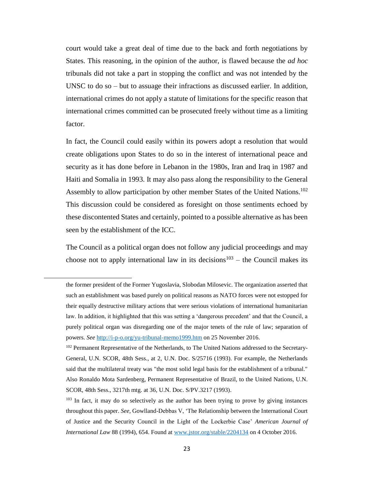court would take a great deal of time due to the back and forth negotiations by States. This reasoning, in the opinion of the author, is flawed because the *ad hoc*  tribunals did not take a part in stopping the conflict and was not intended by the UNSC to do so – but to assuage their infractions as discussed earlier. In addition, international crimes do not apply a statute of limitations for the specific reason that international crimes committed can be prosecuted freely without time as a limiting factor.

In fact, the Council could easily within its powers adopt a resolution that would create obligations upon States to do so in the interest of international peace and security as it has done before in Lebanon in the 1980s, Iran and Iraq in 1987 and Haiti and Somalia in 1993. It may also pass along the responsibility to the General Assembly to allow participation by other member States of the United Nations.<sup>102</sup> This discussion could be considered as foresight on those sentiments echoed by these discontented States and certainly, pointed to a possible alternative as has been seen by the establishment of the ICC.

The Council as a political organ does not follow any judicial proceedings and may choose not to apply international law in its decisions<sup>103</sup> – the Council makes its

l

the former president of the Former Yugoslavia, Slobodan Milosevic. The organization asserted that such an establishment was based purely on political reasons as NATO forces were not estopped for their equally destructive military actions that were serious violations of international humanitarian law. In addition, it highlighted that this was setting a 'dangerous precedent' and that the Council, a purely political organ was disregarding one of the major tenets of the rule of law; separation of powers. *See* <http://i-p-o.org/yu-tribunal-memo1999.htm> on 25 November 2016.

<sup>&</sup>lt;sup>102</sup> Permanent Representative of the Netherlands, to The United Nations addressed to the Secretary-General, U.N. SCOR, 48th Sess., at 2, U.N. Doc. S/25716 (1993). For example, the Netherlands said that the multilateral treaty was "the most solid legal basis for the establishment of a tribunal." Also Ronaldo Mota Sardenberg, Permanent Representative of Brazil, to the United Nations, U.N. SCOR, 48th Sess., 3217th mtg. at 36, U.N. Doc. S/PV.3217 (1993).

<sup>&</sup>lt;sup>103</sup> In fact, it may do so selectively as the author has been trying to prove by giving instances throughout this paper. *See,* Gowlland-Debbas V, 'The Relationship between the International Court of Justice and the Security Council in the Light of the Lockerbie Case' *American Journal of International Law* 88 (1994), 654. Found at [www.jstor.org/stable/2204134](http://www.jstor.org/stable/2204134) on 4 October 2016.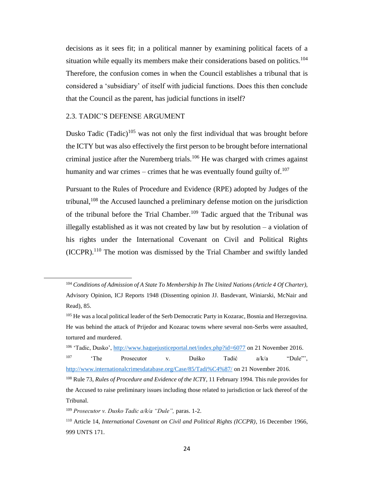decisions as it sees fit; in a political manner by examining political facets of a situation while equally its members make their considerations based on politics.<sup>104</sup> Therefore, the confusion comes in when the Council establishes a tribunal that is considered a 'subsidiary' of itself with judicial functions. Does this then conclude that the Council as the parent, has judicial functions in itself?

#### <span id="page-32-0"></span>2.3. TADIC'S DEFENSE ARGUMENT

l

Dusko Tadic (Tadic)<sup>105</sup> was not only the first individual that was brought before the ICTY but was also effectively the first person to be brought before international criminal justice after the Nuremberg trials.<sup>106</sup> He was charged with crimes against humanity and war crimes – crimes that he was eventually found guilty of.<sup>107</sup>

Pursuant to the Rules of Procedure and Evidence (RPE) adopted by Judges of the tribunal,  $108$  the Accused launched a preliminary defense motion on the jurisdiction of the tribunal before the Trial Chamber.<sup>109</sup> Tadic argued that the Tribunal was illegally established as it was not created by law but by resolution – a violation of his rights under the International Covenant on Civil and Political Rights (ICCPR). <sup>110</sup> The motion was dismissed by the Trial Chamber and swiftly landed

<sup>106</sup> 'Tadic, Dusko',<http://www.haguejusticeportal.net/index.php?id=6077> on 21 November 2016. <sup>107</sup> 'The Prosecutor v. Duško Tadić a/k/a "Dule"', <http://www.internationalcrimesdatabase.org/Case/85/Tadi%C4%87/> on 21 November 2016. <sup>108</sup> Rule 73, *Rules of Procedure and Evidence of the ICTY*, 11 February 1994. This rule provides for the Accused to raise preliminary issues including those related to jurisdiction or lack thereof of the Tribunal.

<sup>109</sup> *Prosecutor v. Dusko Tadic a/k/a "Dule",* paras. 1-2.

<sup>104</sup> *Conditions of Admission of A State To Membership In The United Nations (Article 4 Of Charter)*, Advisory Opinion, ICJ Reports 1948 (Dissenting opinion JJ. Basdevant, Winiarski, McNair and Read), 85.

<sup>&</sup>lt;sup>105</sup> He was a local political leader of the Serb Democratic Party in Kozarac, Bosnia and Herzegovina. He was behind the attack of Prijedor and Kozarac towns where several non-Serbs were assaulted, tortured and murdered.

<sup>110</sup> Article 14, *International Covenant on Civil and Political Rights (ICCPR)*, 16 December 1966, 999 UNTS 171.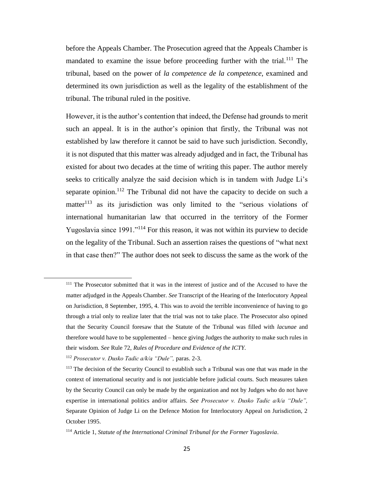before the Appeals Chamber. The Prosecution agreed that the Appeals Chamber is mandated to examine the issue before proceeding further with the trial.<sup>111</sup> The tribunal, based on the power of *la competence de la competence*, examined and determined its own jurisdiction as well as the legality of the establishment of the tribunal. The tribunal ruled in the positive.

However, it is the author's contention that indeed, the Defense had grounds to merit such an appeal. It is in the author's opinion that firstly, the Tribunal was not established by law therefore it cannot be said to have such jurisdiction. Secondly, it is not disputed that this matter was already adjudged and in fact, the Tribunal has existed for about two decades at the time of writing this paper. The author merely seeks to critically analyze the said decision which is in tandem with Judge Li's separate opinion.<sup>112</sup> The Tribunal did not have the capacity to decide on such a matter $113$  as its jurisdiction was only limited to the "serious violations of international humanitarian law that occurred in the territory of the Former Yugoslavia since 1991."<sup>114</sup> For this reason, it was not within its purview to decide on the legality of the Tribunal. Such an assertion raises the questions of "what next in that case then?" The author does not seek to discuss the same as the work of the

l

<sup>&</sup>lt;sup>111</sup> The Prosecutor submitted that it was in the interest of justice and of the Accused to have the matter adjudged in the Appeals Chamber. *See* Transcript of the Hearing of the Interlocutory Appeal on Jurisdiction, 8 September, 1995, 4. This was to avoid the terrible inconvenience of having to go through a trial only to realize later that the trial was not to take place. The Prosecutor also opined that the Security Council foresaw that the Statute of the Tribunal was filled with *lacunae* and therefore would have to be supplemented – hence giving Judges the authority to make such rules in their wisdom. *See* Rule 72, *Rules of Procedure and Evidence of the ICTY.*

<sup>112</sup> *Prosecutor v. Dusko Tadic a/k/a "Dule",* paras. 2-3.

<sup>&</sup>lt;sup>113</sup> The decision of the Security Council to establish such a Tribunal was one that was made in the context of international security and is not justiciable before judicial courts. Such measures taken by the Security Council can only be made by the organization and not by Judges who do not have expertise in international politics and/or affairs. *See Prosecutor v. Dusko Tadic a/k/a "Dule",*  Separate Opinion of Judge Li on the Defence Motion for Interlocutory Appeal on Jurisdiction, 2 October 1995.

<sup>114</sup> Article 1, *Statute of the International Criminal Tribunal for the Former Yugoslavia*.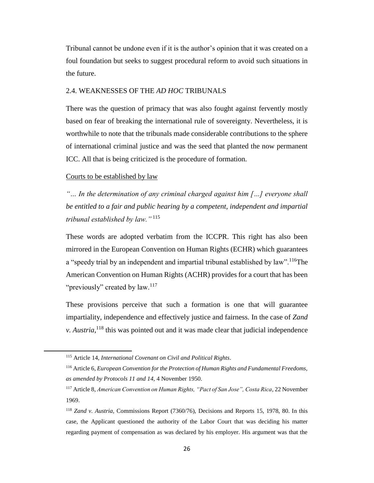Tribunal cannot be undone even if it is the author's opinion that it was created on a foul foundation but seeks to suggest procedural reform to avoid such situations in the future.

#### <span id="page-34-0"></span>2.4. WEAKNESSES OF THE *AD HOC* TRIBUNALS

There was the question of primacy that was also fought against fervently mostly based on fear of breaking the international rule of sovereignty. Nevertheless, it is worthwhile to note that the tribunals made considerable contributions to the sphere of international criminal justice and was the seed that planted the now permanent ICC. All that is being criticized is the procedure of formation.

#### Courts to be established by law

l

*"… In the determination of any criminal charged against him […] everyone shall be entitled to a fair and public hearing by a competent, independent and impartial tribunal established by law."* <sup>115</sup>

These words are adopted verbatim from the ICCPR. This right has also been mirrored in the European Convention on Human Rights (ECHR) which guarantees a "speedy trial by an independent and impartial tribunal established by law".<sup>116</sup>The American Convention on Human Rights (ACHR) provides for a court that has been "previously" created by law.<sup>117</sup>

These provisions perceive that such a formation is one that will guarantee impartiality, independence and effectively justice and fairness. In the case of *Zand v. Austria*,<sup>118</sup> this was pointed out and it was made clear that judicial independence

<sup>115</sup> Article 14, *International Covenant on Civil and Political Rights*.

<sup>116</sup> Article 6, *European Convention for the Protection of Human Rights and Fundamental Freedoms, as amended by Protocols 11 and 14,* 4 November 1950.

<sup>117</sup> Article 8, *American Convention on Human Rights, "Pact of San Jose", Costa Rica*, 22 November 1969.

<sup>118</sup> *Zand v. Austria,* Commissions Report (7360/76), Decisions and Reports 15, 1978, 80. In this case, the Applicant questioned the authority of the Labor Court that was deciding his matter regarding payment of compensation as was declared by his employer. His argument was that the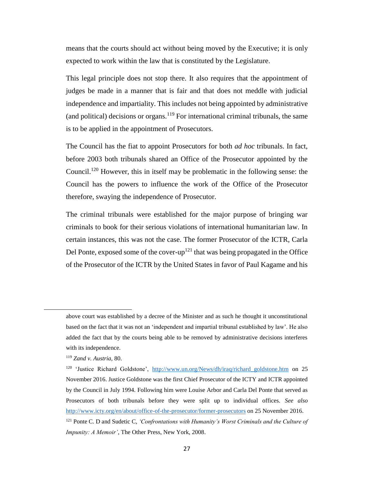means that the courts should act without being moved by the Executive; it is only expected to work within the law that is constituted by the Legislature.

This legal principle does not stop there. It also requires that the appointment of judges be made in a manner that is fair and that does not meddle with judicial independence and impartiality. This includes not being appointed by administrative (and political) decisions or organs.<sup>119</sup> For international criminal tribunals, the same is to be applied in the appointment of Prosecutors.

The Council has the fiat to appoint Prosecutors for both *ad hoc* tribunals. In fact, before 2003 both tribunals shared an Office of the Prosecutor appointed by the Council.<sup>120</sup> However, this in itself may be problematic in the following sense: the Council has the powers to influence the work of the Office of the Prosecutor therefore, swaying the independence of Prosecutor.

The criminal tribunals were established for the major purpose of bringing war criminals to book for their serious violations of international humanitarian law. In certain instances, this was not the case. The former Prosecutor of the ICTR, Carla Del Ponte, exposed some of the cover-up<sup>121</sup> that was being propagated in the Office of the Prosecutor of the ICTR by the United States in favor of Paul Kagame and his

above court was established by a decree of the Minister and as such he thought it unconstitutional based on the fact that it was not an 'independent and impartial tribunal established by law'. He also added the fact that by the courts being able to be removed by administrative decisions interferes with its independence.

<sup>119</sup> *Zand v. Austria,* 80.

<sup>120</sup> 'Justice Richard Goldstone', [http://www.un.org/News/dh/iraq/richard\\_goldstone.htm](http://www.un.org/News/dh/iraq/richard_goldstone.htm) on 25 November 2016. Justice Goldstone was the first Chief Prosecutor of the ICTY and ICTR appointed by the Council in July 1994. Following him were Louise Arbor and Carla Del Ponte that served as Prosecutors of both tribunals before they were split up to individual offices. *See also* <http://www.icty.org/en/about/office-of-the-prosecutor/former-prosecutors> on 25 November 2016.

<sup>121</sup> Ponte C. D and Sudetic C, *'Confrontations with Humanity's Worst Criminals and the Culture of Impunity: A Memoir'*, The Other Press, New York, 2008.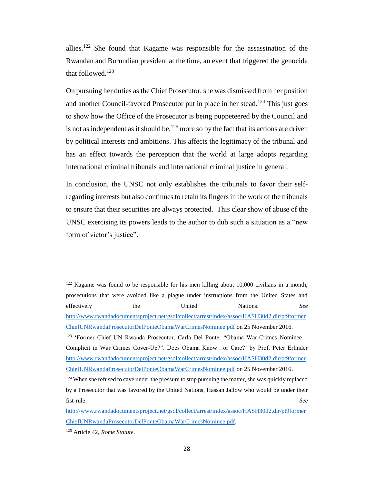allies.<sup>122</sup> She found that Kagame was responsible for the assassination of the Rwandan and Burundian president at the time, an event that triggered the genocide that followed. $123$ 

On pursuing her duties as the Chief Prosecutor, she was dismissed from her position and another Council-favored Prosecutor put in place in her stead.<sup>124</sup> This just goes to show how the Office of the Prosecutor is being puppeteered by the Council and is not as independent as it should be,  $125$  more so by the fact that its actions are driven by political interests and ambitions. This affects the legitimacy of the tribunal and has an effect towards the perception that the world at large adopts regarding international criminal tribunals and international criminal justice in general.

In conclusion, the UNSC not only establishes the tribunals to favor their selfregarding interests but also continues to retain its fingers in the work of the tribunals to ensure that their securities are always protected. This clear show of abuse of the UNSC exercising its powers leads to the author to dub such a situation as a "new form of victor's justice".

 $122$  Kagame was found to be responsible for his men killing about 10,000 civilians in a month, prosecutions that were avoided like a plague under instructions from the United States and effectively the United Nations. *See* [http://www.rwandadocumentsproject.net/gsdl/collect/arrest/index/assoc/HASH30d2.dir/pt9former](http://www.rwandadocumentsproject.net/gsdl/collect/arrest/index/assoc/HASH30d2.dir/pt9formerChiefUNRwandaProsecutorDelPonteObamaWarCrimesNominee.pdf) [ChiefUNRwandaProsecutorDelPonteObamaWarCrimesNominee.pdf](http://www.rwandadocumentsproject.net/gsdl/collect/arrest/index/assoc/HASH30d2.dir/pt9formerChiefUNRwandaProsecutorDelPonteObamaWarCrimesNominee.pdf) on 25 November 2016. <sup>123</sup> 'Former Chief UN Rwanda Prosecutor, Carla Del Ponte: "Obama War-Crimes Nominee – Complicit in War Crimes Cover-Up?". Does Obama Know…or Care?' by Prof. Peter Erlinder [http://www.rwandadocumentsproject.net/gsdl/collect/arrest/index/assoc/HASH30d2.dir/pt9former](http://www.rwandadocumentsproject.net/gsdl/collect/arrest/index/assoc/HASH30d2.dir/pt9formerChiefUNRwandaProsecutorDelPonteObamaWarCrimesNominee.pdf) [ChiefUNRwandaProsecutorDelPonteObamaWarCrimesNominee.pdf](http://www.rwandadocumentsproject.net/gsdl/collect/arrest/index/assoc/HASH30d2.dir/pt9formerChiefUNRwandaProsecutorDelPonteObamaWarCrimesNominee.pdf) on 25 November 2016.

<sup>&</sup>lt;sup>124</sup> When she refused to cave under the pressure to stop pursuing the matter, she was quickly replaced by a Prosecutor that was favored by the United Nations, Hassan Jallow who would be under their fist-rule. *See* 

[http://www.rwandadocumentsproject.net/gsdl/collect/arrest/index/assoc/HASH30d2.dir/pt9former](http://www.rwandadocumentsproject.net/gsdl/collect/arrest/index/assoc/HASH30d2.dir/pt9formerChiefUNRwandaProsecutorDelPonteObamaWarCrimesNominee.pdf) [ChiefUNRwandaProsecutorDelPonteObamaWarCrimesNominee.pdf.](http://www.rwandadocumentsproject.net/gsdl/collect/arrest/index/assoc/HASH30d2.dir/pt9formerChiefUNRwandaProsecutorDelPonteObamaWarCrimesNominee.pdf)

<sup>125</sup> Article 42, *Rome Statute*.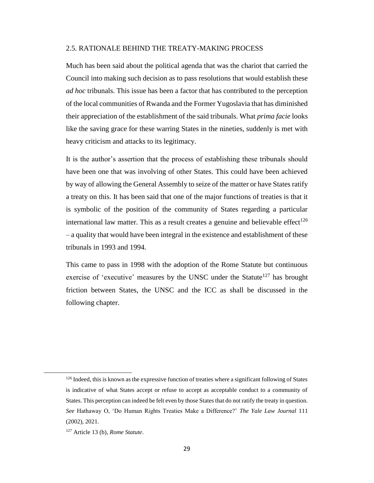## 2.5. RATIONALE BEHIND THE TREATY-MAKING PROCESS

Much has been said about the political agenda that was the chariot that carried the Council into making such decision as to pass resolutions that would establish these *ad hoc* tribunals. This issue has been a factor that has contributed to the perception of the local communities of Rwanda and the Former Yugoslavia that has diminished their appreciation of the establishment of the said tribunals. What *prima facie* looks like the saving grace for these warring States in the nineties, suddenly is met with heavy criticism and attacks to its legitimacy.

It is the author's assertion that the process of establishing these tribunals should have been one that was involving of other States. This could have been achieved by way of allowing the General Assembly to seize of the matter or have States ratify a treaty on this. It has been said that one of the major functions of treaties is that it is symbolic of the position of the community of States regarding a particular international law matter. This as a result creates a genuine and believable effect<sup>126</sup> – a quality that would have been integral in the existence and establishment of these tribunals in 1993 and 1994.

This came to pass in 1998 with the adoption of the Rome Statute but continuous exercise of 'executive' measures by the UNSC under the Statute<sup>127</sup> has brought friction between States, the UNSC and the ICC as shall be discussed in the following chapter.

 $\overline{\phantom{a}}$ 

<sup>126</sup> Indeed, this is known as the expressive function of treaties where a significant following of States is indicative of what States accept or refuse to accept as acceptable conduct to a community of States. This perception can indeed be felt even by those States that do not ratify the treaty in question. *See* Hathaway O, 'Do Human Rights Treaties Make a Difference?' *The Yale Law Journal* 111 (2002), 2021.

<sup>127</sup> Article 13 (b), *Rome Statute*.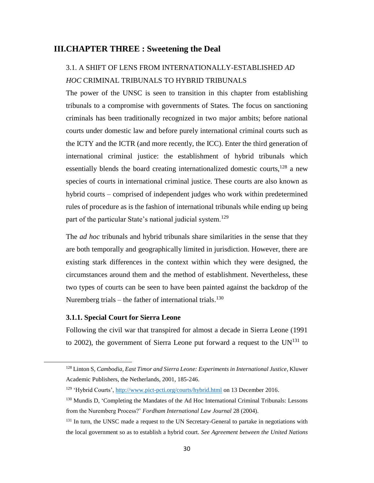## **III.CHAPTER THREE : Sweetening the Deal**

# 3.1. A SHIFT OF LENS FROM INTERNATIONALLY-ESTABLISHED *AD HOC* CRIMINAL TRIBUNALS TO HYBRID TRIBUNALS

The power of the UNSC is seen to transition in this chapter from establishing tribunals to a compromise with governments of States. The focus on sanctioning criminals has been traditionally recognized in two major ambits; before national courts under domestic law and before purely international criminal courts such as the ICTY and the ICTR (and more recently, the ICC). Enter the third generation of international criminal justice: the establishment of hybrid tribunals which essentially blends the board creating internationalized domestic courts,  $128$  a new species of courts in international criminal justice. These courts are also known as hybrid courts – comprised of independent judges who work within predetermined rules of procedure as is the fashion of international tribunals while ending up being part of the particular State's national judicial system.<sup>129</sup>

The *ad hoc* tribunals and hybrid tribunals share similarities in the sense that they are both temporally and geographically limited in jurisdiction. However, there are existing stark differences in the context within which they were designed, the circumstances around them and the method of establishment. Nevertheless, these two types of courts can be seen to have been painted against the backdrop of the Nuremberg trials – the father of international trials.<sup>130</sup>

### **3.1.1. Special Court for Sierra Leone**

l

Following the civil war that transpired for almost a decade in Sierra Leone (1991 to 2002), the government of Sierra Leone put forward a request to the  $UN^{131}$  to

<sup>128</sup> Linton S, *Cambodia, East Timor and Sierra Leone: Experiments in International Justice*, Kluwer Academic Publishers, the Netherlands, 2001, 185-246.

<sup>129</sup> 'Hybrid Courts',<http://www.pict-pcti.org/courts/hybrid.html> on 13 December 2016.

<sup>&</sup>lt;sup>130</sup> Mundis D, 'Completing the Mandates of the Ad Hoc International Criminal Tribunals: Lessons from the Nuremberg Process?' *Fordham International Law Journal* 28 (2004).

<sup>&</sup>lt;sup>131</sup> In turn, the UNSC made a request to the UN Secretary-General to partake in negotiations with the local government so as to establish a hybrid court. *See Agreement between the United Nations*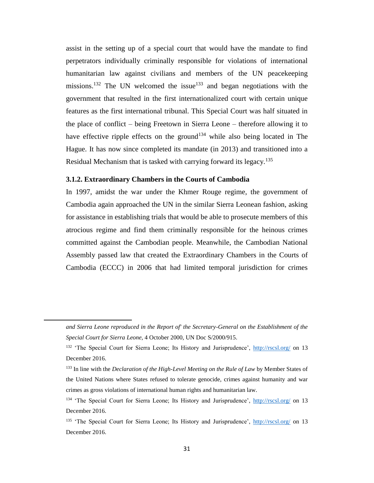assist in the setting up of a special court that would have the mandate to find perpetrators individually criminally responsible for violations of international humanitarian law against civilians and members of the UN peacekeeping missions.<sup>132</sup> The UN welcomed the issue<sup>133</sup> and began negotiations with the government that resulted in the first internationalized court with certain unique features as the first international tribunal. This Special Court was half situated in the place of conflict – being Freetown in Sierra Leone – therefore allowing it to have effective ripple effects on the ground<sup>134</sup> while also being located in The Hague. It has now since completed its mandate (in 2013) and transitioned into a Residual Mechanism that is tasked with carrying forward its legacy.<sup>135</sup>

### **3.1.2. Extraordinary Chambers in the Courts of Cambodia**

l

In 1997, amidst the war under the Khmer Rouge regime, the government of Cambodia again approached the UN in the similar Sierra Leonean fashion, asking for assistance in establishing trials that would be able to prosecute members of this atrocious regime and find them criminally responsible for the heinous crimes committed against the Cambodian people. Meanwhile, the Cambodian National Assembly passed law that created the Extraordinary Chambers in the Courts of Cambodia (ECCC) in 2006 that had limited temporal jurisdiction for crimes

*and Sierra Leone reproduced in the Report of' the Secretary-General on the Establishment of the Special Court for Sierra Leone*, 4 October 2000, UN Doc S/2000/915.

<sup>&</sup>lt;sup>132</sup> 'The Special Court for Sierra Leone; Its History and Jurisprudence',<http://rscsl.org/> on 13 December 2016.

<sup>133</sup> In line with the *Declaration of the High-Level Meeting on the Rule of Law* by Member States of the United Nations where States refused to tolerate genocide, crimes against humanity and war crimes as gross violations of international human rights and humanitarian law.

<sup>134</sup> 'The Special Court for Sierra Leone; Its History and Jurisprudence',<http://rscsl.org/> on 13 December 2016.

<sup>&</sup>lt;sup>135</sup> 'The Special Court for Sierra Leone; Its History and Jurisprudence',<http://rscsl.org/> on 13 December 2016.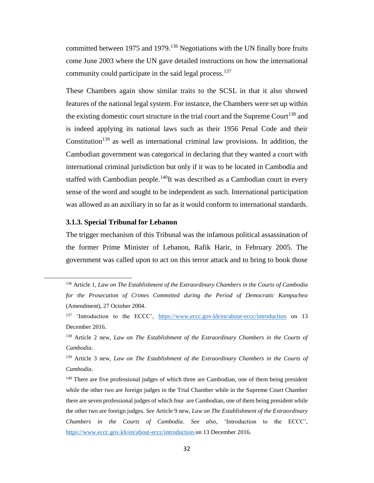committed between 1975 and 1979.<sup>136</sup> Negotiations with the UN finally bore fruits come June 2003 where the UN gave detailed instructions on how the international community could participate in the said legal process.<sup>137</sup>

These Chambers again show similar traits to the SCSL in that it also showed features of the national legal system. For instance, the Chambers were set up within the existing domestic court structure in the trial court and the Supreme Court<sup>138</sup> and is indeed applying its national laws such as their 1956 Penal Code and their Constitution<sup>139</sup> as well as international criminal law provisions. In addition, the Cambodian government was categorical in declaring that they wanted a court with international criminal jurisdiction but only if it was to be located in Cambodia and staffed with Cambodian people.<sup>140</sup>It was described as a Cambodian court in every sense of the word and sought to be independent as such. International participation was allowed as an auxiliary in so far as it would conform to international standards.

### **3.1.3. Special Tribunal for Lebanon**

l

The trigger mechanism of this Tribunal was the infamous political assassination of the former Prime Minister of Lebanon, Rafik Harir, in February 2005. The government was called upon to act on this terror attack and to bring to book those

<sup>136</sup> Article 1, *Law on The Establishment of the Extraordinary Chambers in the Courts of Cambodia for the Prosecution of Crimes Committed during the Period of Democratic Kampuchea* (Amendment), 27 October 2004.

<sup>&</sup>lt;sup>137</sup> 'Introduction to the ECCC', <https://www.eccc.gov.kh/en/about-eccc/introduction> on 13 December 2016.

<sup>138</sup> Article 2 new, *Law on The Establishment of the Extraordinary Chambers in the Courts of Cambodia*.

<sup>139</sup> Article 3 new, *Law on The Establishment of the Extraordinary Chambers in the Courts of Cambodia*.

<sup>&</sup>lt;sup>140</sup> There are five professional judges of which three are Cambodian, one of them being president while the other two are foreign judges in the Trial Chamber while in the Supreme Court Chamber there are seven professional judges of which four are Cambodian, one of them being president while the other two are foreign judges. *See* Article 9 new, *Law on The Establishment of the Extraordinary Chambers in the Courts of Cambodia*. *See also*, 'Introduction to the ECCC', [https://www.eccc.gov.kh/en/about-eccc/introduction o](https://www.eccc.gov.kh/en/about-eccc/introduction%20accessed%2013/12/2016)n 13 December 2016.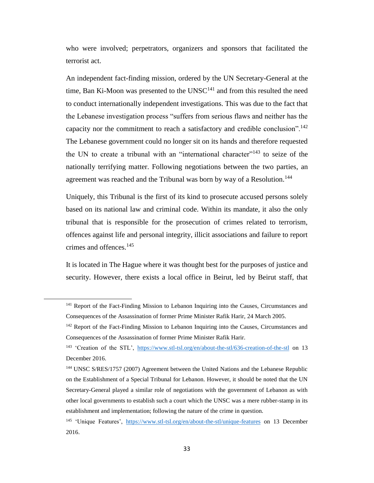who were involved; perpetrators, organizers and sponsors that facilitated the terrorist act.

An independent fact-finding mission, ordered by the UN Secretary-General at the time, Ban Ki-Moon was presented to the  $UNSC<sup>141</sup>$  and from this resulted the need to conduct internationally independent investigations. This was due to the fact that the Lebanese investigation process "suffers from serious flaws and neither has the capacity nor the commitment to reach a satisfactory and credible conclusion".<sup>142</sup> The Lebanese government could no longer sit on its hands and therefore requested the UN to create a tribunal with an "international character"<sup>143</sup> to seize of the nationally terrifying matter. Following negotiations between the two parties, an agreement was reached and the Tribunal was born by way of a Resolution.<sup>144</sup>

Uniquely, this Tribunal is the first of its kind to prosecute accused persons solely based on its national law and criminal code. Within its mandate, it also the only tribunal that is responsible for the prosecution of crimes related to terrorism, offences against life and personal integrity, illicit associations and failure to report crimes and offences.<sup>145</sup>

It is located in The Hague where it was thought best for the purposes of justice and security. However, there exists a local office in Beirut, led by Beirut staff, that

 $\overline{\phantom{a}}$ 

<sup>&</sup>lt;sup>141</sup> Report of the Fact-Finding Mission to Lebanon Inquiring into the Causes, Circumstances and Consequences of the Assassination of former Prime Minister Rafik Harir, 24 March 2005.

<sup>&</sup>lt;sup>142</sup> Report of the Fact-Finding Mission to Lebanon Inquiring into the Causes, Circumstances and Consequences of the Assassination of former Prime Minister Rafik Harir.

<sup>&</sup>lt;sup>143</sup> 'Creation of the STL', <https://www.stl-tsl.org/en/about-the-stl/636-creation-of-the-stl> on 13 December 2016.

<sup>144</sup> UNSC S/RES/1757 (2007) Agreement between the United Nations and the Lebanese Republic on the Establishment of a Special Tribunal for Lebanon. However, it should be noted that the UN Secretary-General played a similar role of negotiations with the government of Lebanon as with other local governments to establish such a court which the UNSC was a mere rubber-stamp in its establishment and implementation; following the nature of the crime in question.

<sup>&</sup>lt;sup>145</sup> 'Unique Features', <https://www.stl-tsl.org/en/about-the-stl/unique-features> on 13 December 2016.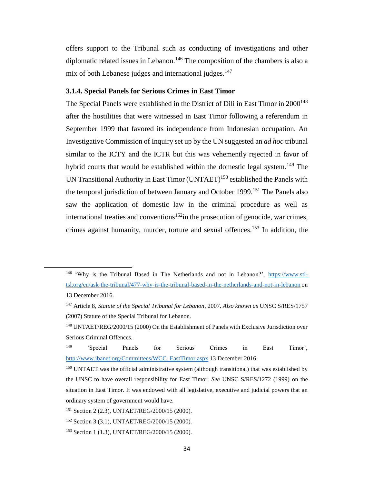offers support to the Tribunal such as conducting of investigations and other diplomatic related issues in Lebanon.<sup>146</sup> The composition of the chambers is also a mix of both Lebanese judges and international judges.<sup>147</sup>

## **3.1.4. Special Panels for Serious Crimes in East Timor**

The Special Panels were established in the District of Dili in East Timor in  $2000^{148}$ after the hostilities that were witnessed in East Timor following a referendum in September 1999 that favored its independence from Indonesian occupation. An Investigative Commission of Inquiry set up by the UN suggested an *ad hoc* tribunal similar to the ICTY and the ICTR but this was vehemently rejected in favor of hybrid courts that would be established within the domestic legal system.<sup>149</sup> The UN Transitional Authority in East Timor  $(UNTAET)^{150}$  established the Panels with the temporal jurisdiction of between January and October 1999.<sup>151</sup> The Panels also saw the application of domestic law in the criminal procedure as well as international treaties and conventions<sup>152</sup>in the prosecution of genocide, war crimes, crimes against humanity, murder, torture and sexual offences.<sup>153</sup> In addition, the

<sup>146</sup> 'Why is the Tribunal Based in The Netherlands and not in Lebanon?', [https://www.stl](https://www.stl-tsl.org/en/ask-the-tribunal/477-why-is-the-tribunal-based-in-the-netherlands-and-not-in-lebanon)[tsl.org/en/ask-the-tribunal/477-why-is-the-tribunal-based-in-the-netherlands-and-not-in-lebanon](https://www.stl-tsl.org/en/ask-the-tribunal/477-why-is-the-tribunal-based-in-the-netherlands-and-not-in-lebanon) on 13 December 2016.

<sup>147</sup> Article 8, *Statute of the Special Tribunal for Lebanon*, 2007. *Also known as* UNSC S/RES/1757 (2007) Statute of the Special Tribunal for Lebanon.

<sup>148</sup> UNTAET/REG/2000/15 (2000) On the Establishment of Panels with Exclusive Jurisdiction over Serious Criminal Offences.

<sup>149</sup> 'Special Panels for Serious Crimes in East Timor', [http://www.ibanet.org/Committees/WCC\\_EastTimor.aspx](http://www.ibanet.org/Committees/WCC_EastTimor.aspx) 13 December 2016.

<sup>150</sup> UNTAET was the official administrative system (although transitional) that was established by the UNSC to have overall responsibility for East Timor. *See* UNSC S/RES/1272 (1999) on the situation in East Timor. It was endowed with all legislative, executive and judicial powers that an ordinary system of government would have.

<sup>151</sup> Section 2 (2.3), UNTAET/REG/2000/15 (2000).

<sup>152</sup> Section 3 (3.1), UNTAET/REG/2000/15 (2000).

<sup>153</sup> Section 1 (1.3), UNTAET/REG/2000/15 (2000).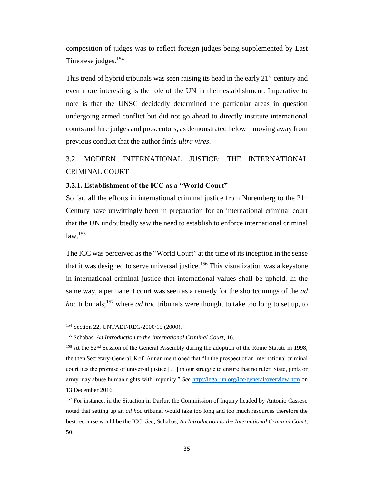composition of judges was to reflect foreign judges being supplemented by East Timorese judges.<sup>154</sup>

This trend of hybrid tribunals was seen raising its head in the early  $21<sup>st</sup>$  century and even more interesting is the role of the UN in their establishment. Imperative to note is that the UNSC decidedly determined the particular areas in question undergoing armed conflict but did not go ahead to directly institute international courts and hire judges and prosecutors, as demonstrated below – moving away from previous conduct that the author finds *ultra vires*.

# 3.2. MODERN INTERNATIONAL JUSTICE: THE INTERNATIONAL CRIMINAL COURT

## **3.2.1. Establishment of the ICC as a "World Court"**

So far, all the efforts in international criminal justice from Nuremberg to the  $21<sup>st</sup>$ Century have unwittingly been in preparation for an international criminal court that the UN undoubtedly saw the need to establish to enforce international criminal law.<sup>155</sup>

The ICC was perceived as the "World Court" at the time of its inception in the sense that it was designed to serve universal justice.<sup>156</sup> This visualization was a keystone in international criminal justice that international values shall be upheld. In the same way, a permanent court was seen as a remedy for the shortcomings of the *ad hoc* tribunals;<sup>157</sup> where *ad hoc* tribunals were thought to take too long to set up, to

<sup>154</sup> Section 22, UNTAET/REG/2000/15 (2000).

<sup>155</sup> Schabas, *An Introduction to the International Criminal Court*, 16.

<sup>&</sup>lt;sup>156</sup> At the 52<sup>nd</sup> Session of the General Assembly during the adoption of the Rome Statute in 1998, the then Secretary-General, Kofi Annan mentioned that "In the prospect of an international criminal court lies the promise of universal justice […] in our struggle to ensure that no ruler, State, junta or army may abuse human rights with impunity." *See* <http://legal.un.org/icc/general/overview.htm> on 13 December 2016.

<sup>&</sup>lt;sup>157</sup> For instance, in the Situation in Darfur, the Commission of Inquiry headed by Antonio Cassese noted that setting up an *ad hoc* tribunal would take too long and too much resources therefore the best recourse would be the ICC. *See,* Schabas, *An Introduction to the International Criminal Court*, 50.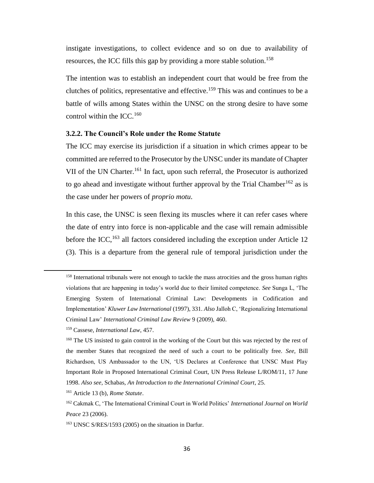instigate investigations, to collect evidence and so on due to availability of resources, the ICC fills this gap by providing a more stable solution.<sup>158</sup>

The intention was to establish an independent court that would be free from the clutches of politics, representative and effective.<sup>159</sup> This was and continues to be a battle of wills among States within the UNSC on the strong desire to have some control within the ICC.<sup>160</sup>

### **3.2.2. The Council's Role under the Rome Statute**

The ICC may exercise its jurisdiction if a situation in which crimes appear to be committed are referred to the Prosecutor by the UNSC under its mandate of Chapter VII of the UN Charter.<sup>161</sup> In fact, upon such referral, the Prosecutor is authorized to go ahead and investigate without further approval by the Trial Chamber<sup>162</sup> as is the case under her powers of *proprio motu*.

In this case, the UNSC is seen flexing its muscles where it can refer cases where the date of entry into force is non-applicable and the case will remain admissible before the ICC,<sup>163</sup> all factors considered including the exception under Article 12 (3). This is a departure from the general rule of temporal jurisdiction under the

 $\overline{\phantom{a}}$ 

<sup>&</sup>lt;sup>158</sup> International tribunals were not enough to tackle the mass atrocities and the gross human rights violations that are happening in today's world due to their limited competence. *See* Sunga L, 'The Emerging System of International Criminal Law: Developments in Codification and Implementation' *Kluwer Law International* (1997), 331. *Also* Jalloh C, 'Regionalizing International Criminal Law' *International Criminal Law Review* 9 (2009), 460.

<sup>159</sup> Cassese, *International Law*, 457.

<sup>&</sup>lt;sup>160</sup> The US insisted to gain control in the working of the Court but this was rejected by the rest of the member States that recognized the need of such a court to be politically free. *See,* Bill Richardson, US Ambassador to the UN, 'US Declares at Conference that UNSC Must Play Important Role in Proposed International Criminal Court, UN Press Release L/ROM/11, 17 June 1998. *Also see*, Schabas, *An Introduction to the International Criminal Court*, 25.

<sup>161</sup> Article 13 (b), *Rome Statute*.

<sup>162</sup> Cakmak C, 'The International Criminal Court in World Politics' *International Journal on World Peace* 23 (2006).

<sup>163</sup> UNSC S/RES/1593 (2005) on the situation in Darfur.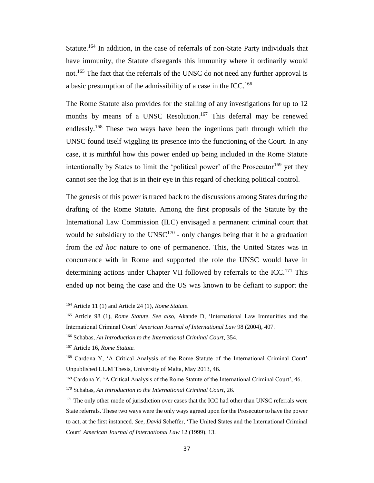Statute.<sup>164</sup> In addition, in the case of referrals of non-State Party individuals that have immunity, the Statute disregards this immunity where it ordinarily would not.<sup>165</sup> The fact that the referrals of the UNSC do not need any further approval is a basic presumption of the admissibility of a case in the ICC.<sup>166</sup>

The Rome Statute also provides for the stalling of any investigations for up to 12 months by means of a UNSC Resolution.<sup>167</sup> This deferral may be renewed endlessly.<sup>168</sup> These two ways have been the ingenious path through which the UNSC found itself wiggling its presence into the functioning of the Court. In any case, it is mirthful how this power ended up being included in the Rome Statute intentionally by States to limit the 'political power' of the Prosecutor<sup>169</sup> yet they cannot see the log that is in their eye in this regard of checking political control.

The genesis of this power is traced back to the discussions among States during the drafting of the Rome Statute. Among the first proposals of the Statute by the International Law Commission (ILC) envisaged a permanent criminal court that would be subsidiary to the UNSC<sup>170</sup> - only changes being that it be a graduation from the *ad hoc* nature to one of permanence. This, the United States was in concurrence with in Rome and supported the role the UNSC would have in determining actions under Chapter VII followed by referrals to the ICC.<sup>171</sup> This ended up not being the case and the US was known to be defiant to support the

 $\overline{\phantom{a}}$ 

<sup>164</sup> Article 11 (1) and Article 24 (1), *Rome Statute.*

<sup>165</sup> Article 98 (1), *Rome Statute*. *See also*, Akande D, 'International Law Immunities and the International Criminal Court' *American Journal of International Law* 98 (2004), 407.

<sup>166</sup> Schabas, *An Introduction to the International Criminal Court*, 354.

<sup>167</sup> Article 16, *Rome Statute.*

<sup>168</sup> Cardona Y, 'A Critical Analysis of the Rome Statute of the International Criminal Court' Unpublished LL.M Thesis, University of Malta, May 2013, 46.

<sup>169</sup> Cardona Y, 'A Critical Analysis of the Rome Statute of the International Criminal Court', 46.

<sup>170</sup> Schabas, *An Introduction to the International Criminal Court*, 26.

<sup>&</sup>lt;sup>171</sup> The only other mode of jurisdiction over cases that the ICC had other than UNSC referrals were State referrals. These two ways were the only ways agreed upon for the Prosecutor to have the power to act, at the first instanced. *See, David* Scheffer, 'The United States and the International Criminal Court' *American Journal of International Law* 12 (1999), 13.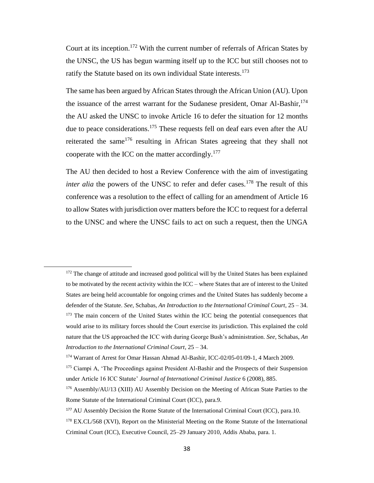Court at its inception.<sup>172</sup> With the current number of referrals of African States by the UNSC, the US has begun warming itself up to the ICC but still chooses not to ratify the Statute based on its own individual State interests.<sup>173</sup>

The same has been argued by African States through the African Union (AU). Upon the issuance of the arrest warrant for the Sudanese president, Omar Al-Bashir,<sup>174</sup> the AU asked the UNSC to invoke Article 16 to defer the situation for 12 months due to peace considerations.<sup>175</sup> These requests fell on deaf ears even after the AU reiterated the same<sup>176</sup> resulting in African States agreeing that they shall not cooperate with the ICC on the matter accordingly.<sup>177</sup>

The AU then decided to host a Review Conference with the aim of investigating *inter alia* the powers of the UNSC to refer and defer cases.<sup>178</sup> The result of this conference was a resolution to the effect of calling for an amendment of Article 16 to allow States with jurisdiction over matters before the ICC to request for a deferral to the UNSC and where the UNSC fails to act on such a request, then the UNGA

<sup>&</sup>lt;sup>172</sup> The change of attitude and increased good political will by the United States has been explained to be motivated by the recent activity within the ICC – where States that are of interest to the United States are being held accountable for ongoing crimes and the United States has suddenly become a defender of the Statute. *See*, Schabas, *An Introduction to the International Criminal Court*, 25 – 34. <sup>173</sup> The main concern of the United States within the ICC being the potential consequences that would arise to its military forces should the Court exercise its jurisdiction. This explained the cold nature that the US approached the ICC with during George Bush's administration. *See*, Schabas, *An Introduction to the International Criminal Court*, 25 – 34.

<sup>174</sup> Warrant of Arrest for Omar Hassan Ahmad Al-Bashir, ICC-02/05-01/09-1, 4 March 2009.

<sup>&</sup>lt;sup>175</sup> Ciampi A, 'The Proceedings against President Al-Bashir and the Prospects of their Suspension under Article 16 ICC Statute' *Journal of International Criminal Justice* 6 (2008), 885.

<sup>&</sup>lt;sup>176</sup> Assembly/AU/13 (XIII) AU Assembly Decision on the Meeting of African State Parties to the Rome Statute of the International Criminal Court (ICC), para.9.

<sup>&</sup>lt;sup>177</sup> AU Assembly Decision the Rome Statute of the International Criminal Court (ICC), para.10.

<sup>&</sup>lt;sup>178</sup> EX.CL/568 (XVI), Report on the Ministerial Meeting on the Rome Statute of the International Criminal Court (ICC), Executive Council, 25–29 January 2010, Addis Ababa, para. 1.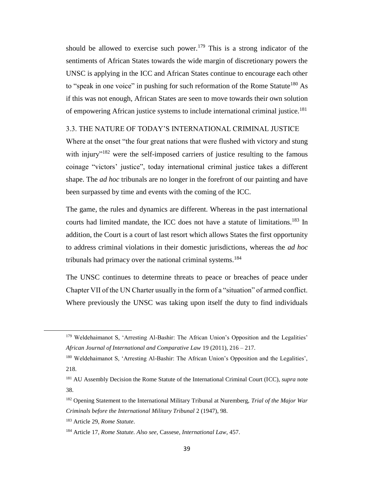should be allowed to exercise such power.<sup>179</sup> This is a strong indicator of the sentiments of African States towards the wide margin of discretionary powers the UNSC is applying in the ICC and African States continue to encourage each other to "speak in one voice" in pushing for such reformation of the Rome Statute<sup>180</sup> As if this was not enough, African States are seen to move towards their own solution of empowering African justice systems to include international criminal justice.<sup>181</sup>

## 3.3. THE NATURE OF TODAY'S INTERNATIONAL CRIMINAL JUSTICE

Where at the onset "the four great nations that were flushed with victory and stung with injury"<sup>182</sup> were the self-imposed carriers of justice resulting to the famous coinage "victors' justice", today international criminal justice takes a different shape. The *ad hoc* tribunals are no longer in the forefront of our painting and have been surpassed by time and events with the coming of the ICC.

The game, the rules and dynamics are different. Whereas in the past international courts had limited mandate, the ICC does not have a statute of limitations.<sup>183</sup> In addition, the Court is a court of last resort which allows States the first opportunity to address criminal violations in their domestic jurisdictions, whereas the *ad hoc*  tribunals had primacy over the national criminal systems.<sup>184</sup>

The UNSC continues to determine threats to peace or breaches of peace under Chapter VII of the UN Charter usually in the form of a "situation" of armed conflict. Where previously the UNSC was taking upon itself the duty to find individuals

<sup>179</sup> Weldehaimanot S, 'Arresting Al-Bashir: The African Union's Opposition and the Legalities' *African Journal of International and Comparative Law* 19 (2011), 216 – 217.

<sup>180</sup> Weldehaimanot S, 'Arresting Al-Bashir: The African Union's Opposition and the Legalities', 218.

<sup>181</sup> AU Assembly Decision the Rome Statute of the International Criminal Court (ICC), *supra* note 38.

<sup>182</sup> Opening Statement to the International Military Tribunal at Nuremberg, *Trial of the Major War Criminals before the International Military Tribunal* 2 (1947), 98.

<sup>183</sup> Article 29, *Rome Statute*.

<sup>184</sup> Article 17, *Rome Statute. Also see,* Cassese, *International Law*, 457.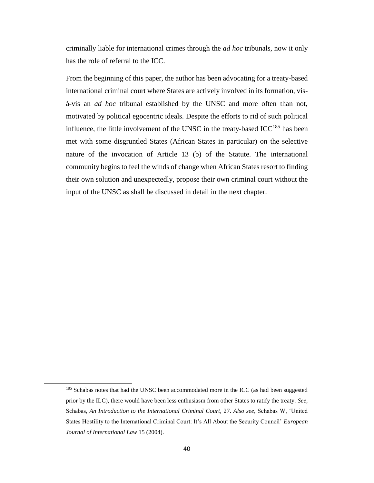criminally liable for international crimes through the *ad hoc* tribunals, now it only has the role of referral to the ICC.

From the beginning of this paper, the author has been advocating for a treaty-based international criminal court where States are actively involved in its formation, visà-vis an *ad hoc* tribunal established by the UNSC and more often than not, motivated by political egocentric ideals. Despite the efforts to rid of such political influence, the little involvement of the UNSC in the treaty-based  $ICC^{185}$  has been met with some disgruntled States (African States in particular) on the selective nature of the invocation of Article 13 (b) of the Statute. The international community begins to feel the winds of change when African States resort to finding their own solution and unexpectedly, propose their own criminal court without the input of the UNSC as shall be discussed in detail in the next chapter.

<sup>&</sup>lt;sup>185</sup> Schabas notes that had the UNSC been accommodated more in the ICC (as had been suggested prior by the ILC), there would have been less enthusiasm from other States to ratify the treaty. *See*, Schabas, *An Introduction to the International Criminal Court*, 27. *Also see*, Schabas W, 'United States Hostility to the International Criminal Court: It's All About the Security Council' *European Journal of International Law* 15 (2004).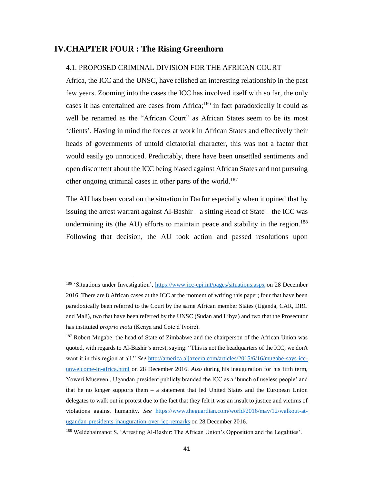## **IV.CHAPTER FOUR : The Rising Greenhorn**

l

## 4.1. PROPOSED CRIMINAL DIVISION FOR THE AFRICAN COURT

Africa, the ICC and the UNSC, have relished an interesting relationship in the past few years. Zooming into the cases the ICC has involved itself with so far, the only cases it has entertained are cases from Africa; $186$  in fact paradoxically it could as well be renamed as the "African Court" as African States seem to be its most 'clients'. Having in mind the forces at work in African States and effectively their heads of governments of untold dictatorial character, this was not a factor that would easily go unnoticed. Predictably, there have been unsettled sentiments and open discontent about the ICC being biased against African States and not pursuing other ongoing criminal cases in other parts of the world.<sup>187</sup>

The AU has been vocal on the situation in Darfur especially when it opined that by issuing the arrest warrant against Al-Bashir – a sitting Head of State – the ICC was undermining its (the AU) efforts to maintain peace and stability in the region.<sup>188</sup> Following that decision, the AU took action and passed resolutions upon

<sup>186</sup> 'Situations under Investigation',<https://www.icc-cpi.int/pages/situations.aspx> on 28 December 2016. There are 8 African cases at the ICC at the moment of writing this paper; four that have been paradoxically been referred to the Court by the same African member States (Uganda, CAR, DRC and Mali), two that have been referred by the UNSC (Sudan and Libya) and two that the Prosecutor has instituted *proprio motu* (Kenya and Cote d'Ivoire).

<sup>&</sup>lt;sup>187</sup> Robert Mugabe, the head of State of Zimbabwe and the chairperson of the African Union was quoted, with regards to Al-Bashir's arrest, saying: "This is not the headquarters of the ICC; we don't want it in this region at all." *See* [http://america.aljazeera.com/articles/2015/6/16/mugabe-says-icc](http://america.aljazeera.com/articles/2015/6/16/mugabe-says-icc-unwelcome-in-africa.html)[unwelcome-in-africa.html](http://america.aljazeera.com/articles/2015/6/16/mugabe-says-icc-unwelcome-in-africa.html) on 28 December 2016. *Also* during his inauguration for his fifth term, Yoweri Museveni, Ugandan president publicly branded the ICC as a 'bunch of useless people' and that he no longer supports them – a statement that led United States and the European Union delegates to walk out in protest due to the fact that they felt it was an insult to justice and victims of violations against humanity. *See* [https://www.theguardian.com/world/2016/may/12/walkout-at](https://www.theguardian.com/world/2016/may/12/walkout-at-ugandan-presidents-inauguration-over-icc-remarks)[ugandan-presidents-inauguration-over-icc-remarks](https://www.theguardian.com/world/2016/may/12/walkout-at-ugandan-presidents-inauguration-over-icc-remarks) on 28 December 2016.

<sup>188</sup> Weldehaimanot S, 'Arresting Al-Bashir: The African Union's Opposition and the Legalities'.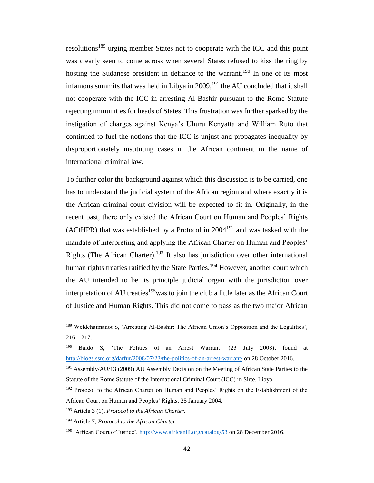resolutions<sup>189</sup> urging member States not to cooperate with the ICC and this point was clearly seen to come across when several States refused to kiss the ring by hosting the Sudanese president in defiance to the warrant.<sup>190</sup> In one of its most infamous summits that was held in Libya in  $2009$ ,<sup>191</sup> the AU concluded that it shall not cooperate with the ICC in arresting Al-Bashir pursuant to the Rome Statute rejecting immunities for heads of States. This frustration was further sparked by the instigation of charges against Kenya's Uhuru Kenyatta and William Ruto that continued to fuel the notions that the ICC is unjust and propagates inequality by disproportionately instituting cases in the African continent in the name of international criminal law.

To further color the background against which this discussion is to be carried, one has to understand the judicial system of the African region and where exactly it is the African criminal court division will be expected to fit in. Originally, in the recent past, there only existed the African Court on Human and Peoples' Rights (ACtHPR) that was established by a Protocol in  $2004^{192}$  and was tasked with the mandate of interpreting and applying the African Charter on Human and Peoples' Rights (The African Charter).<sup>193</sup> It also has jurisdiction over other international human rights treaties ratified by the State Parties.<sup>194</sup> However, another court which the AU intended to be its principle judicial organ with the jurisdiction over interpretation of AU treaties<sup>195</sup> was to join the club a little later as the African Court of Justice and Human Rights. This did not come to pass as the two major African

<sup>193</sup> Article 3 (1), *Protocol to the African Charter*.

<sup>&</sup>lt;sup>189</sup> Weldehaimanot S, 'Arresting Al-Bashir: The African Union's Opposition and the Legalities',  $216 - 217$ .

<sup>190</sup> Baldo S, 'The Politics of an Arrest Warrant' (23 July 2008), found at <http://blogs.ssrc.org/darfur/2008/07/23/the-politics-of-an-arrest-warrant/> on 28 October 2016.

<sup>191</sup> Assembly/AU/13 (2009) AU Assembly Decision on the Meeting of African State Parties to the Statute of the Rome Statute of the International Criminal Court (ICC) in Sirte, Libya.

<sup>&</sup>lt;sup>192</sup> Protocol to the African Charter on Human and Peoples' Rights on the Establishment of the African Court on Human and Peoples' Rights, 25 January 2004.

<sup>194</sup> Article 7, *Protocol to the African Charter*.

<sup>195</sup> 'African Court of Justice',<http://www.africanlii.org/catalog/53> on 28 December 2016.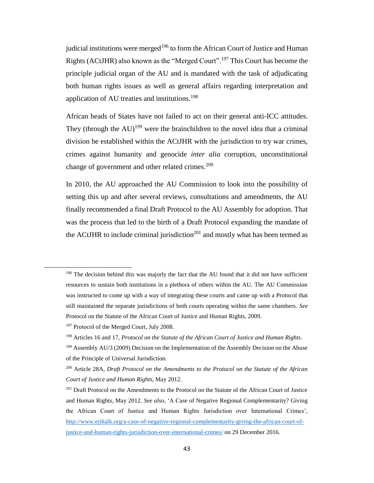judicial institutions were merged<sup>196</sup> to form the African Court of Justice and Human Rights (ACtJHR) also known as the "Merged Court".<sup>197</sup> This Court has become the principle judicial organ of the AU and is mandated with the task of adjudicating both human rights issues as well as general affairs regarding interpretation and application of AU treaties and institutions.<sup>198</sup>

African heads of States have not failed to act on their general anti-ICC attitudes. They (through the  $AU$ )<sup>199</sup> were the brainchildren to the novel idea that a criminal division be established within the ACtJHR with the jurisdiction to try war crimes, crimes against humanity and genocide *inter alia* corruption, unconstitutional change of government and other related crimes.<sup>200</sup>

In 2010, the AU approached the AU Commission to look into the possibility of setting this up and after several reviews, consultations and amendments, the AU finally recommended a final Draft Protocol to the AU Assembly for adoption. That was the process that led to the birth of a Draft Protocol expanding the mandate of the ACtJHR to include criminal jurisdiction<sup>201</sup> and mostly what has been termed as

<sup>&</sup>lt;sup>196</sup> The decision behind this was majorly the fact that the AU found that it did not have sufficient resources to sustain both institutions in a plethora of others within the AU. The AU Commission was instructed to come up with a way of integrating these courts and came up with a Protocol that still maintained the separate jurisdictions of both courts operating within the same chambers. *See* Protocol on the Statute of the African Court of Justice and Human Rights, 2009.

<sup>&</sup>lt;sup>197</sup> Protocol of the Merged Court, July 2008.

<sup>198</sup> Articles 16 and 17, *Protocol on the Statute of the African Court of Justice and Human Rights*.

<sup>&</sup>lt;sup>199</sup> Assembly AU/3 (2009) Decision on the Implementation of the Assembly Decision on the Abuse of the Principle of Universal Jurisdiction.

<sup>200</sup> Article 28A, *Draft Protocol on the Amendments to the Protocol on the Statute of the African Court of Justice and Human Rights*, May 2012.

<sup>&</sup>lt;sup>201</sup> Draft Protocol on the Amendments to the Protocol on the Statute of the African Court of Justice and Human Rights, May 2012. *See also*, 'A Case of Negative Regional Complementarity? Giving the African Court of Justice and Human Rights Jurisdiction over International Crimes', [http://www.ejiltalk.org/a-case-of-negative-regional-complementarity-giving-the-african-court-of](http://www.ejiltalk.org/a-case-of-negative-regional-complementarity-giving-the-african-court-of-justice-and-human-rights-jurisdiction-over-international-crimes/)[justice-and-human-rights-jurisdiction-over-international-crimes/](http://www.ejiltalk.org/a-case-of-negative-regional-complementarity-giving-the-african-court-of-justice-and-human-rights-jurisdiction-over-international-crimes/) on 29 December 2016.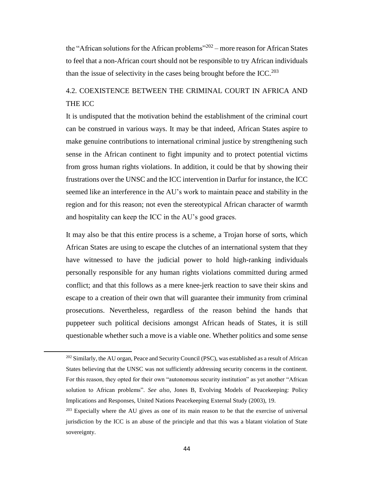the "African solutions for the African problems"<sup>202</sup> – more reason for African States to feel that a non-African court should not be responsible to try African individuals than the issue of selectivity in the cases being brought before the ICC.<sup>203</sup>

# 4.2. COEXISTENCE BETWEEN THE CRIMINAL COURT IN AFRICA AND THE ICC

It is undisputed that the motivation behind the establishment of the criminal court can be construed in various ways. It may be that indeed, African States aspire to make genuine contributions to international criminal justice by strengthening such sense in the African continent to fight impunity and to protect potential victims from gross human rights violations. In addition, it could be that by showing their frustrations over the UNSC and the ICC intervention in Darfur for instance, the ICC seemed like an interference in the AU's work to maintain peace and stability in the region and for this reason; not even the stereotypical African character of warmth and hospitality can keep the ICC in the AU's good graces.

It may also be that this entire process is a scheme, a Trojan horse of sorts, which African States are using to escape the clutches of an international system that they have witnessed to have the judicial power to hold high-ranking individuals personally responsible for any human rights violations committed during armed conflict; and that this follows as a mere knee-jerk reaction to save their skins and escape to a creation of their own that will guarantee their immunity from criminal prosecutions. Nevertheless, regardless of the reason behind the hands that puppeteer such political decisions amongst African heads of States, it is still questionable whether such a move is a viable one. Whether politics and some sense

<sup>&</sup>lt;sup>202</sup> Similarly, the AU organ, Peace and Security Council (PSC), was established as a result of African States believing that the UNSC was not sufficiently addressing security concerns in the continent. For this reason, they opted for their own "autonomous security institution" as yet another "African solution to African problems". *See also*, Jones B, Evolving Models of Peacekeeping: Policy Implications and Responses, United Nations Peacekeeping External Study (2003), 19.

<sup>&</sup>lt;sup>203</sup> Especially where the AU gives as one of its main reason to be that the exercise of universal jurisdiction by the ICC is an abuse of the principle and that this was a blatant violation of State sovereignty.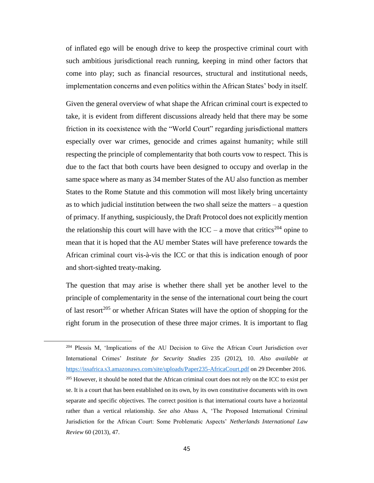of inflated ego will be enough drive to keep the prospective criminal court with such ambitious jurisdictional reach running, keeping in mind other factors that come into play; such as financial resources, structural and institutional needs, implementation concerns and even politics within the African States' body in itself.

Given the general overview of what shape the African criminal court is expected to take, it is evident from different discussions already held that there may be some friction in its coexistence with the "World Court" regarding jurisdictional matters especially over war crimes, genocide and crimes against humanity; while still respecting the principle of complementarity that both courts vow to respect. This is due to the fact that both courts have been designed to occupy and overlap in the same space where as many as 34 member States of the AU also function as member States to the Rome Statute and this commotion will most likely bring uncertainty as to which judicial institution between the two shall seize the matters – a question of primacy. If anything, suspiciously, the Draft Protocol does not explicitly mention the relationship this court will have with the ICC – a move that critics<sup>204</sup> opine to mean that it is hoped that the AU member States will have preference towards the African criminal court vis-à-vis the ICC or that this is indication enough of poor and short-sighted treaty-making.

The question that may arise is whether there shall yet be another level to the principle of complementarity in the sense of the international court being the court of last resort<sup>205</sup> or whether African States will have the option of shopping for the right forum in the prosecution of these three major crimes. It is important to flag

<sup>204</sup> Plessis M, 'Implications of the AU Decision to Give the African Court Jurisdiction over International Crimes' *Institute for Security Studies* 235 (2012), 10. *Also available at* <https://issafrica.s3.amazonaws.com/site/uploads/Paper235-AfricaCourt.pdf> on 29 December 2016. <sup>205</sup> However, it should be noted that the African criminal court does not rely on the ICC to exist per se. It is a court that has been established on its own, by its own constitutive documents with its own separate and specific objectives. The correct position is that international courts have a horizontal rather than a vertical relationship. *See also* Abass A, 'The Proposed International Criminal Jurisdiction for the African Court: Some Problematic Aspects' *Netherlands International Law Review* 60 (2013), 47.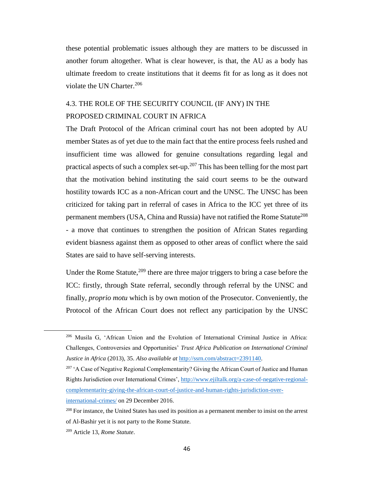these potential problematic issues although they are matters to be discussed in another forum altogether. What is clear however, is that, the AU as a body has ultimate freedom to create institutions that it deems fit for as long as it does not violate the UN Charter. $206$ 

# 4.3. THE ROLE OF THE SECURITY COUNCIL (IF ANY) IN THE PROPOSED CRIMINAL COURT IN AFRICA

The Draft Protocol of the African criminal court has not been adopted by AU member States as of yet due to the main fact that the entire process feels rushed and insufficient time was allowed for genuine consultations regarding legal and practical aspects of such a complex set-up.<sup>207</sup> This has been telling for the most part that the motivation behind instituting the said court seems to be the outward hostility towards ICC as a non-African court and the UNSC. The UNSC has been criticized for taking part in referral of cases in Africa to the ICC yet three of its permanent members (USA, China and Russia) have not ratified the Rome Statute<sup>208</sup> - a move that continues to strengthen the position of African States regarding evident biasness against them as opposed to other areas of conflict where the said States are said to have self-serving interests.

Under the Rome Statute,  $209$  there are three major triggers to bring a case before the ICC: firstly, through State referral, secondly through referral by the UNSC and finally, *proprio motu* which is by own motion of the Prosecutor. Conveniently, the Protocol of the African Court does not reflect any participation by the UNSC

[international-crimes/](http://www.ejiltalk.org/a-case-of-negative-regional-complementarity-giving-the-african-court-of-justice-and-human-rights-jurisdiction-over-international-crimes/) on 29 December 2016.

<sup>206</sup> Musila G, 'African Union and the Evolution of International Criminal Justice in Africa: Challenges, Controversies and Opportunities' *Trust Africa Publication on International Criminal Justice in Africa* (2013), 35. *Also available at* [http://ssrn.com/abstract=2391140.](http://ssrn.com/abstract=2391140)

<sup>&</sup>lt;sup>207</sup> 'A Case of Negative Regional Complementarity? Giving the African Court of Justice and Human Rights Jurisdiction over International Crimes', [http://www.ejiltalk.org/a-case-of-negative-regional](http://www.ejiltalk.org/a-case-of-negative-regional-complementarity-giving-the-african-court-of-justice-and-human-rights-jurisdiction-over-international-crimes/)[complementarity-giving-the-african-court-of-justice-and-human-rights-jurisdiction-over-](http://www.ejiltalk.org/a-case-of-negative-regional-complementarity-giving-the-african-court-of-justice-and-human-rights-jurisdiction-over-international-crimes/)

<sup>&</sup>lt;sup>208</sup> For instance, the United States has used its position as a permanent member to insist on the arrest of Al-Bashir yet it is not party to the Rome Statute.

<sup>209</sup> Article 13, *Rome Statute*.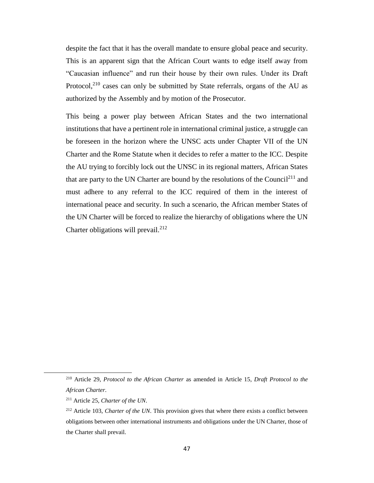despite the fact that it has the overall mandate to ensure global peace and security. This is an apparent sign that the African Court wants to edge itself away from "Caucasian influence" and run their house by their own rules. Under its Draft Protocol,<sup>210</sup> cases can only be submitted by State referrals, organs of the AU as authorized by the Assembly and by motion of the Prosecutor.

This being a power play between African States and the two international institutions that have a pertinent role in international criminal justice, a struggle can be foreseen in the horizon where the UNSC acts under Chapter VII of the UN Charter and the Rome Statute when it decides to refer a matter to the ICC. Despite the AU trying to forcibly lock out the UNSC in its regional matters, African States that are party to the UN Charter are bound by the resolutions of the Council<sup>211</sup> and must adhere to any referral to the ICC required of them in the interest of international peace and security. In such a scenario, the African member States of the UN Charter will be forced to realize the hierarchy of obligations where the UN Charter obligations will prevail.<sup>212</sup>

 $\overline{\phantom{a}}$ 

<sup>210</sup> Article 29, *Protocol to the African Charter* as amended in Article 15, *Draft Protocol to the African Charter*.

<sup>211</sup> Article 25, *Charter of the UN*.

<sup>212</sup> Article 103, *Charter of the UN*. This provision gives that where there exists a conflict between obligations between other international instruments and obligations under the UN Charter, those of the Charter shall prevail.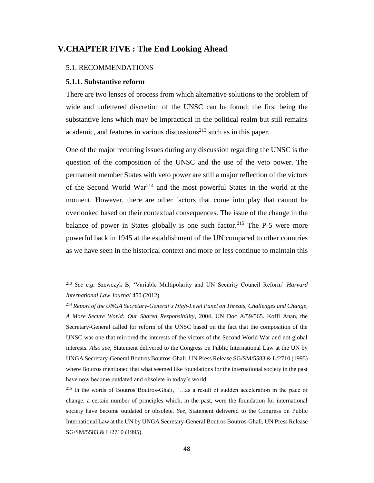## **V.CHAPTER FIVE : The End Looking Ahead**

#### 5.1. RECOMMENDATIONS

### **5.1.1. Substantive reform**

l

There are two lenses of process from which alternative solutions to the problem of wide and unfettered discretion of the UNSC can be found; the first being the substantive lens which may be impractical in the political realm but still remains academic, and features in various discussions<sup>213</sup> such as in this paper.

One of the major recurring issues during any discussion regarding the UNSC is the question of the composition of the UNSC and the use of the veto power. The permanent member States with veto power are still a major reflection of the victors of the Second World War<sup>214</sup> and the most powerful States in the world at the moment. However, there are other factors that come into play that cannot be overlooked based on their contextual consequences. The issue of the change in the balance of power in States globally is one such factor.<sup>215</sup> The P-5 were more powerful back in 1945 at the establishment of the UN compared to other countries as we have seen in the historical context and more or less continue to maintain this

<sup>213</sup> *See e.g.* Szewczyk B, 'Variable Multipolarity and UN Security Council Reform' *Harvard International Law Journal* 450 (2012).

<sup>214</sup> *Report of the UNGA Secretary-General's High-Level Panel on Threats, Challenges and Change, A More Secure World: Our Shared Responsibility*, 2004, UN Doc A/59/565. Koffi Anan, the Secretary-General called for reform of the UNSC based on the fact that the composition of the UNSC was one that mirrored the interests of the victors of the Second World War and not global interests. *Also see,* Statement delivered to the Congress on Public International Law at the UN by UNGA Secretary-General Boutros Boutros-Ghali, UN Press Release SG/SM/5583 & L/2710 (1995) where Boutros mentioned that what seemed like foundations for the international society in the past have now become outdated and obsolete in today's world.

<sup>215</sup> In the words of Boutros Boutros-Ghali, "…as a result of sudden acceleration in the pace of change, a certain number of principles which, in the past, were the foundation for international society have become outdated or obsolete. *See*, Statement delivered to the Congress on Public International Law at the UN by UNGA Secretary-General Boutros Boutros-Ghali, UN Press Release SG/SM/5583 & L/2710 (1995).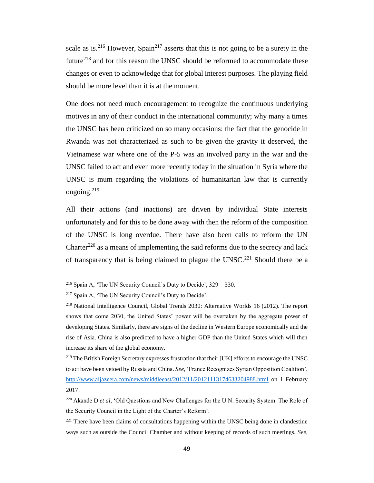scale as is.<sup>216</sup> However, Spain<sup>217</sup> asserts that this is not going to be a surety in the future<sup>218</sup> and for this reason the UNSC should be reformed to accommodate these changes or even to acknowledge that for global interest purposes. The playing field should be more level than it is at the moment.

One does not need much encouragement to recognize the continuous underlying motives in any of their conduct in the international community; why many a times the UNSC has been criticized on so many occasions: the fact that the genocide in Rwanda was not characterized as such to be given the gravity it deserved, the Vietnamese war where one of the P-5 was an involved party in the war and the UNSC failed to act and even more recently today in the situation in Syria where the UNSC is mum regarding the violations of humanitarian law that is currently ongoing. $^{219}$ 

All their actions (and inactions) are driven by individual State interests unfortunately and for this to be done away with then the reform of the composition of the UNSC is long overdue. There have also been calls to reform the UN Charter<sup>220</sup> as a means of implementing the said reforms due to the secrecy and lack of transparency that is being claimed to plague the  $UNSC<sup>221</sup>$  Should there be a

<sup>&</sup>lt;sup>216</sup> Spain A, 'The UN Security Council's Duty to Decide',  $329 - 330$ .

<sup>217</sup> Spain A, 'The UN Security Council's Duty to Decide'.

<sup>218</sup> National Intelligence Council, Global Trends 2030: Alternative Worlds 16 (2012). The report shows that come 2030, the United States' power will be overtaken by the aggregate power of developing States. Similarly, there are signs of the decline in Western Europe economically and the rise of Asia. China is also predicted to have a higher GDP than the United States which will then increase its share of the global economy.

<sup>&</sup>lt;sup>219</sup> The British Foreign Secretary expresses frustration that their [UK] efforts to encourage the UNSC to act have been vetoed by Russia and China. *See,* 'France Recognizes Syrian Opposition Coalition', <http://www.aljazeera.com/news/middleeast/2012/11/20121113174633204988.html> on 1 February 2017.

<sup>220</sup> Akande D *et al*, 'Old Questions and New Challenges for the U.N. Security System: The Role of the Security Council in the Light of the Charter's Reform'.

 $221$  There have been claims of consultations happening within the UNSC being done in clandestine ways such as outside the Council Chamber and without keeping of records of such meetings. *See*,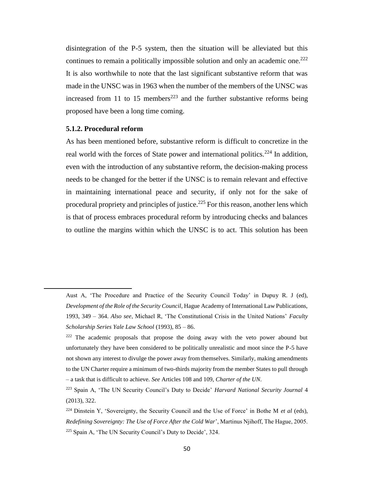disintegration of the P-5 system, then the situation will be alleviated but this continues to remain a politically impossible solution and only an academic one.<sup>222</sup> It is also worthwhile to note that the last significant substantive reform that was made in the UNSC was in 1963 when the number of the members of the UNSC was increased from 11 to 15 members<sup>223</sup> and the further substantive reforms being proposed have been a long time coming.

### **5.1.2. Procedural reform**

l

As has been mentioned before, substantive reform is difficult to concretize in the real world with the forces of State power and international politics.<sup>224</sup> In addition, even with the introduction of any substantive reform, the decision-making process needs to be changed for the better if the UNSC is to remain relevant and effective in maintaining international peace and security, if only not for the sake of procedural propriety and principles of justice.<sup>225</sup> For this reason, another lens which is that of process embraces procedural reform by introducing checks and balances to outline the margins within which the UNSC is to act. This solution has been

Aust A, 'The Procedure and Practice of the Security Council Today' in Dupuy R. J (ed), *Development of the Role of the Security Council*, Hague Academy of International Law Publications, 1993, 349 – 364. *Also see*, Michael R, 'The Constitutional Crisis in the United Nations' *Faculty Scholarship Series Yale Law School* (1993), 85 – 86.

 $222$  The academic proposals that propose the doing away with the veto power abound but unfortunately they have been considered to be politically unrealistic and moot since the P-5 have not shown any interest to divulge the power away from themselves. Similarly, making amendments to the UN Charter require a minimum of two-thirds majority from the member States to pull through – a task that is difficult to achieve. *See* Articles 108 and 109, *Charter of the UN*.

<sup>223</sup> Spain A, 'The UN Security Council's Duty to Decide' *Harvard National Security Journal* 4 (2013), 322.

<sup>&</sup>lt;sup>224</sup> Dinstein Y, 'Sovereignty, the Security Council and the Use of Force' in Bothe M *et al* (eds), *Redefining Sovereignty: The Use of Force After the Cold War*', Martinus Njihoff, The Hague, 2005. <sup>225</sup> Spain A, 'The UN Security Council's Duty to Decide', 324.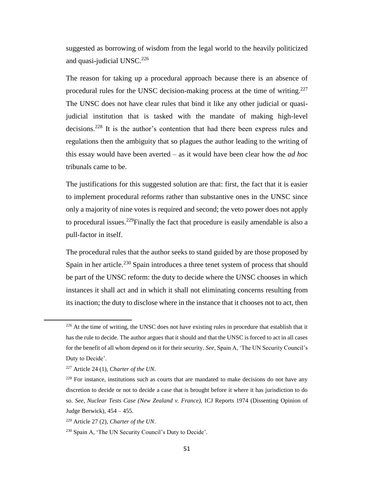suggested as borrowing of wisdom from the legal world to the heavily politicized and quasi-judicial UNSC.<sup>226</sup>

The reason for taking up a procedural approach because there is an absence of procedural rules for the UNSC decision-making process at the time of writing.<sup>227</sup> The UNSC does not have clear rules that bind it like any other judicial or quasijudicial institution that is tasked with the mandate of making high-level decisions.<sup>228</sup> It is the author's contention that had there been express rules and regulations then the ambiguity that so plagues the author leading to the writing of this essay would have been averted – as it would have been clear how the *ad hoc*  tribunals came to be.

The justifications for this suggested solution are that: first, the fact that it is easier to implement procedural reforms rather than substantive ones in the UNSC since only a majority of nine votes is required and second; the veto power does not apply to procedural issues.<sup>229</sup>Finally the fact that procedure is easily amendable is also a pull-factor in itself.

The procedural rules that the author seeks to stand guided by are those proposed by Spain in her article.<sup>230</sup> Spain introduces a three tenet system of process that should be part of the UNSC reform: the duty to decide where the UNSC chooses in which instances it shall act and in which it shall not eliminating concerns resulting from its inaction; the duty to disclose where in the instance that it chooses not to act, then

<sup>&</sup>lt;sup>226</sup> At the time of writing, the UNSC does not have existing rules in procedure that establish that it has the rule to decide. The author argues that it should and that the UNSC is forced to act in all cases for the benefit of all whom depend on it for their security. *See,* Spain A, 'The UN Security Council's Duty to Decide'.

<sup>227</sup> Article 24 (1), *Charter of the UN*.

 $228$  For instance, institutions such as courts that are mandated to make decisions do not have any discretion to decide or not to decide a case that is brought before it where it has jurisdiction to do so. *See*, *Nuclear Tests Case (New Zealand v. France),* ICJ Reports 1974 (Dissenting Opinion of Judge Berwick), 454 – 455.

<sup>229</sup> Article 27 (2), *Charter of the UN*.

<sup>230</sup> Spain A, 'The UN Security Council's Duty to Decide'.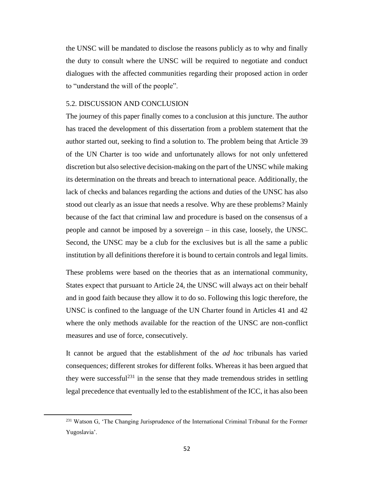the UNSC will be mandated to disclose the reasons publicly as to why and finally the duty to consult where the UNSC will be required to negotiate and conduct dialogues with the affected communities regarding their proposed action in order to "understand the will of the people".

### 5.2. DISCUSSION AND CONCLUSION

The journey of this paper finally comes to a conclusion at this juncture. The author has traced the development of this dissertation from a problem statement that the author started out, seeking to find a solution to. The problem being that Article 39 of the UN Charter is too wide and unfortunately allows for not only unfettered discretion but also selective decision-making on the part of the UNSC while making its determination on the threats and breach to international peace. Additionally, the lack of checks and balances regarding the actions and duties of the UNSC has also stood out clearly as an issue that needs a resolve. Why are these problems? Mainly because of the fact that criminal law and procedure is based on the consensus of a people and cannot be imposed by a sovereign – in this case, loosely, the UNSC. Second, the UNSC may be a club for the exclusives but is all the same a public institution by all definitions therefore it is bound to certain controls and legal limits.

These problems were based on the theories that as an international community, States expect that pursuant to Article 24, the UNSC will always act on their behalf and in good faith because they allow it to do so. Following this logic therefore, the UNSC is confined to the language of the UN Charter found in Articles 41 and 42 where the only methods available for the reaction of the UNSC are non-conflict measures and use of force, consecutively.

It cannot be argued that the establishment of the *ad hoc* tribunals has varied consequences; different strokes for different folks. Whereas it has been argued that they were successful<sup>231</sup> in the sense that they made tremendous strides in settling legal precedence that eventually led to the establishment of the ICC, it has also been

 $\overline{\phantom{a}}$ 

<sup>&</sup>lt;sup>231</sup> Watson G, 'The Changing Jurisprudence of the International Criminal Tribunal for the Former Yugoslavia'.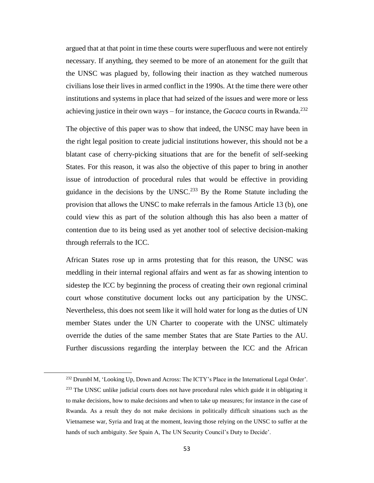argued that at that point in time these courts were superfluous and were not entirely necessary. If anything, they seemed to be more of an atonement for the guilt that the UNSC was plagued by, following their inaction as they watched numerous civilians lose their lives in armed conflict in the 1990s. At the time there were other institutions and systems in place that had seized of the issues and were more or less achieving justice in their own ways – for instance, the *Gacaca* courts in Rwanda.<sup>232</sup>

The objective of this paper was to show that indeed, the UNSC may have been in the right legal position to create judicial institutions however, this should not be a blatant case of cherry-picking situations that are for the benefit of self-seeking States. For this reason, it was also the objective of this paper to bring in another issue of introduction of procedural rules that would be effective in providing guidance in the decisions by the UNSC.<sup>233</sup> By the Rome Statute including the provision that allows the UNSC to make referrals in the famous Article 13 (b), one could view this as part of the solution although this has also been a matter of contention due to its being used as yet another tool of selective decision-making through referrals to the ICC.

African States rose up in arms protesting that for this reason, the UNSC was meddling in their internal regional affairs and went as far as showing intention to sidestep the ICC by beginning the process of creating their own regional criminal court whose constitutive document locks out any participation by the UNSC. Nevertheless, this does not seem like it will hold water for long as the duties of UN member States under the UN Charter to cooperate with the UNSC ultimately override the duties of the same member States that are State Parties to the AU. Further discussions regarding the interplay between the ICC and the African

 $\overline{\phantom{a}}$ 

<sup>232</sup> Drumbl M, 'Looking Up, Down and Across: The ICTY's Place in the International Legal Order'. <sup>233</sup> The UNSC unlike judicial courts does not have procedural rules which guide it in obligating it to make decisions, how to make decisions and when to take up measures; for instance in the case of Rwanda. As a result they do not make decisions in politically difficult situations such as the Vietnamese war, Syria and Iraq at the moment, leaving those relying on the UNSC to suffer at the hands of such ambiguity. *See* Spain A, The UN Security Council's Duty to Decide'.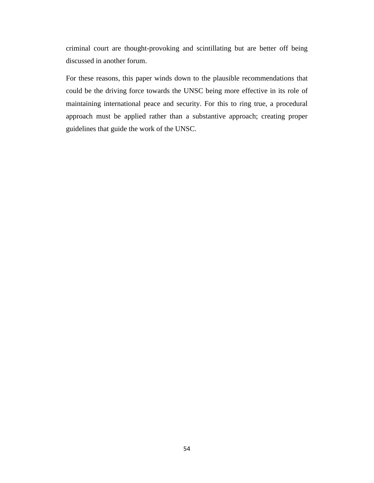criminal court are thought-provoking and scintillating but are better off being discussed in another forum.

For these reasons, this paper winds down to the plausible recommendations that could be the driving force towards the UNSC being more effective in its role of maintaining international peace and security. For this to ring true, a procedural approach must be applied rather than a substantive approach; creating proper guidelines that guide the work of the UNSC.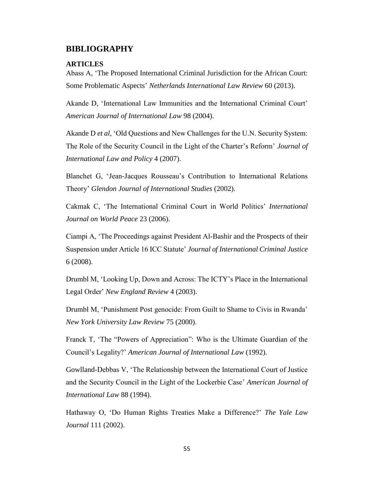## **BIBLIOGRAPHY**

### **ARTICLES**

Abass A, 'The Proposed International Criminal Jurisdiction for the African Court: Some Problematic Aspects' *Netherlands International Law Review* 60 (2013).

Akande D, 'International Law Immunities and the International Criminal Court' *American Journal of International Law* 98 (2004).

Akande D *et al*, 'Old Questions and New Challenges for the U.N. Security System: The Role of the Security Council in the Light of the Charter's Reform' *Journal of International Law and Policy* 4 (2007).

Blanchet G, 'Jean-Jacques Rousseau's Contribution to International Relations Theory' *Glendon Journal of International Studies* (2002).

Cakmak C, 'The International Criminal Court in World Politics' *International Journal on World Peace* 23 (2006).

Ciampi A, 'The Proceedings against President Al-Bashir and the Prospects of their Suspension under Article 16 ICC Statute' *Journal of International Criminal Justice* 6 (2008).

Drumbl M, 'Looking Up, Down and Across: The ICTY's Place in the International Legal Order' *New England Review* 4 (2003).

Drumbl M, 'Punishment Post genocide: From Guilt to Shame to Civis in Rwanda' *New York University Law Review* 75 (2000).

Franck T, 'The "Powers of Appreciation": Who is the Ultimate Guardian of the Council's Legality?' *American Journal of International Law* (1992).

Gowlland-Debbas V, 'The Relationship between the International Court of Justice and the Security Council in the Light of the Lockerbie Case' *American Journal of International Law* 88 (1994).

Hathaway O, 'Do Human Rights Treaties Make a Difference?' *The Yale Law Journal* 111 (2002).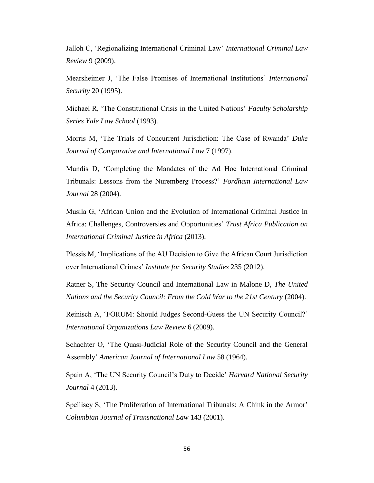Jalloh C, 'Regionalizing International Criminal Law' *International Criminal Law Review* 9 (2009).

Mearsheimer J, 'The False Promises of International Institutions' *International Security* 20 (1995).

Michael R, 'The Constitutional Crisis in the United Nations' *Faculty Scholarship Series Yale Law School* (1993).

Morris M, 'The Trials of Concurrent Jurisdiction: The Case of Rwanda' *Duke Journal of Comparative and International Law* 7 (1997).

Mundis D, 'Completing the Mandates of the Ad Hoc International Criminal Tribunals: Lessons from the Nuremberg Process?' *Fordham International Law Journal* 28 (2004).

Musila G, 'African Union and the Evolution of International Criminal Justice in Africa: Challenges, Controversies and Opportunities' *Trust Africa Publication on International Criminal Justice in Africa* (2013).

Plessis M, 'Implications of the AU Decision to Give the African Court Jurisdiction over International Crimes' *Institute for Security Studies* 235 (2012).

Ratner S, The Security Council and International Law in Malone D, *The United Nations and the Security Council: From the Cold War to the 21st Century* (2004).

Reinisch A, 'FORUM: Should Judges Second-Guess the UN Security Council?' *International Organizations Law Review* 6 (2009).

Schachter O, 'The Quasi-Judicial Role of the Security Council and the General Assembly' *American Journal of International Law* 58 (1964).

Spain A, 'The UN Security Council's Duty to Decide' *Harvard National Security Journal* 4 (2013).

Spelliscy S, 'The Proliferation of International Tribunals: A Chink in the Armor' *Columbian Journal of Transnational Law* 143 (2001).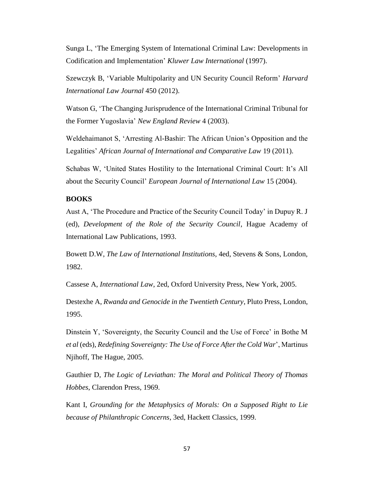Sunga L, 'The Emerging System of International Criminal Law: Developments in Codification and Implementation' *Kluwer Law International* (1997).

Szewczyk B, 'Variable Multipolarity and UN Security Council Reform' *Harvard International Law Journal* 450 (2012).

Watson G, 'The Changing Jurisprudence of the International Criminal Tribunal for the Former Yugoslavia' *New England Review* 4 (2003).

Weldehaimanot S, 'Arresting Al-Bashir: The African Union's Opposition and the Legalities' *African Journal of International and Comparative Law* 19 (2011).

Schabas W, 'United States Hostility to the International Criminal Court: It's All about the Security Council' *European Journal of International Law* 15 (2004).

## **BOOKS**

Aust A, 'The Procedure and Practice of the Security Council Today' in Dupuy R. J (ed), *Development of the Role of the Security Council*, Hague Academy of International Law Publications, 1993.

Bowett D.W, *The Law of International Institutions*, 4ed, Stevens & Sons, London, 1982.

Cassese A, *International Law*, 2ed, Oxford University Press, New York, 2005.

Destexhe A, *Rwanda and Genocide in the Twentieth Century*, Pluto Press, London, 1995.

Dinstein Y, 'Sovereignty, the Security Council and the Use of Force' in Bothe M *et al* (eds), *Redefining Sovereignty: The Use of Force After the Cold War*', Martinus Njihoff, The Hague, 2005.

Gauthier D, *The Logic of Leviathan: The Moral and Political Theory of Thomas Hobbes*, Clarendon Press, 1969.

Kant I, *Grounding for the Metaphysics of Morals: On a Supposed Right to Lie because of Philanthropic Concerns*, 3ed, Hackett Classics, 1999.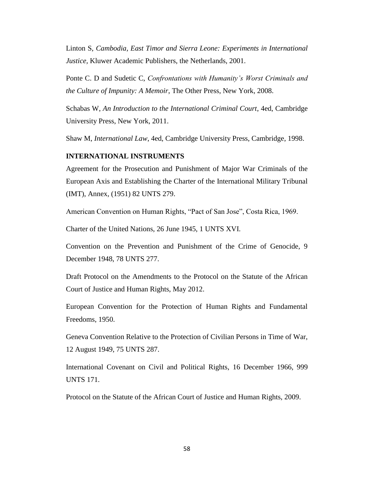Linton S, *Cambodia, East Timor and Sierra Leone: Experiments in International Justice,* Kluwer Academic Publishers, the Netherlands, 2001.

Ponte C. D and Sudetic C, *Confrontations with Humanity's Worst Criminals and the Culture of Impunity: A Memoir*, The Other Press, New York, 2008.

Schabas W, *An Introduction to the International Criminal Court*, 4ed, Cambridge University Press, New York, 2011.

Shaw M, *International Law*, 4ed, Cambridge University Press, Cambridge, 1998.

### **INTERNATIONAL INSTRUMENTS**

Agreement for the Prosecution and Punishment of Major War Criminals of the European Axis and Establishing the Charter of the International Military Tribunal (IMT), Annex, (1951) 82 UNTS 279.

American Convention on Human Rights, "Pact of San Jose", Costa Rica, 1969.

Charter of the United Nations, 26 June 1945, 1 UNTS XVI.

Convention on the Prevention and Punishment of the Crime of Genocide, 9 December 1948, 78 UNTS 277.

Draft Protocol on the Amendments to the Protocol on the Statute of the African Court of Justice and Human Rights, May 2012.

European Convention for the Protection of Human Rights and Fundamental Freedoms, 1950.

Geneva Convention Relative to the Protection of Civilian Persons in Time of War, 12 August 1949, 75 UNTS 287.

International Covenant on Civil and Political Rights, 16 December 1966, 999 UNTS 171.

Protocol on the Statute of the African Court of Justice and Human Rights, 2009.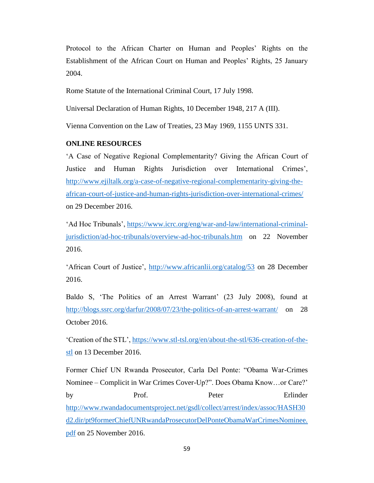Protocol to the African Charter on Human and Peoples' Rights on the Establishment of the African Court on Human and Peoples' Rights, 25 January 2004.

Rome Statute of the International Criminal Court, 17 July 1998.

Universal Declaration of Human Rights, 10 December 1948, 217 A (III).

Vienna Convention on the Law of Treaties, 23 May 1969, 1155 UNTS 331.

### **ONLINE RESOURCES**

'A Case of Negative Regional Complementarity? Giving the African Court of Justice and Human Rights Jurisdiction over International Crimes', [http://www.ejiltalk.org/a-case-of-negative-regional-complementarity-giving-the](http://www.ejiltalk.org/a-case-of-negative-regional-complementarity-giving-the-african-court-of-justice-and-human-rights-jurisdiction-over-international-crimes/)[african-court-of-justice-and-human-rights-jurisdiction-over-international-crimes/](http://www.ejiltalk.org/a-case-of-negative-regional-complementarity-giving-the-african-court-of-justice-and-human-rights-jurisdiction-over-international-crimes/) on 29 December 2016.

'Ad Hoc Tribunals', [https://www.icrc.org/eng/war-and-law/international-criminal](https://www.icrc.org/eng/war-and-law/international-criminal-jurisdiction/ad-hoc-tribunals/overview-ad-hoc-tribunals.htm)[jurisdiction/ad-hoc-tribunals/overview-ad-hoc-tribunals.htm](https://www.icrc.org/eng/war-and-law/international-criminal-jurisdiction/ad-hoc-tribunals/overview-ad-hoc-tribunals.htm) on 22 November 2016.

'African Court of Justice',<http://www.africanlii.org/catalog/53> on 28 December 2016.

Baldo S, 'The Politics of an Arrest Warrant' (23 July 2008), found at <http://blogs.ssrc.org/darfur/2008/07/23/the-politics-of-an-arrest-warrant/> on 28 October 2016.

'Creation of the STL', [https://www.stl-tsl.org/en/about-the-stl/636-creation-of-the](https://www.stl-tsl.org/en/about-the-stl/636-creation-of-the-stl)[stl](https://www.stl-tsl.org/en/about-the-stl/636-creation-of-the-stl) on 13 December 2016.

Former Chief UN Rwanda Prosecutor, Carla Del Ponte: "Obama War-Crimes Nominee – Complicit in War Crimes Cover-Up?". Does Obama Know…or Care?' by Prof. Peter Erlinder [http://www.rwandadocumentsproject.net/gsdl/collect/arrest/index/assoc/HASH30](http://www.rwandadocumentsproject.net/gsdl/collect/arrest/index/assoc/HASH30d2.dir/pt9formerChiefUNRwandaProsecutorDelPonteObamaWarCrimesNominee.pdf) [d2.dir/pt9formerChiefUNRwandaProsecutorDelPonteObamaWarCrimesNominee.](http://www.rwandadocumentsproject.net/gsdl/collect/arrest/index/assoc/HASH30d2.dir/pt9formerChiefUNRwandaProsecutorDelPonteObamaWarCrimesNominee.pdf) [pdf](http://www.rwandadocumentsproject.net/gsdl/collect/arrest/index/assoc/HASH30d2.dir/pt9formerChiefUNRwandaProsecutorDelPonteObamaWarCrimesNominee.pdf) on 25 November 2016.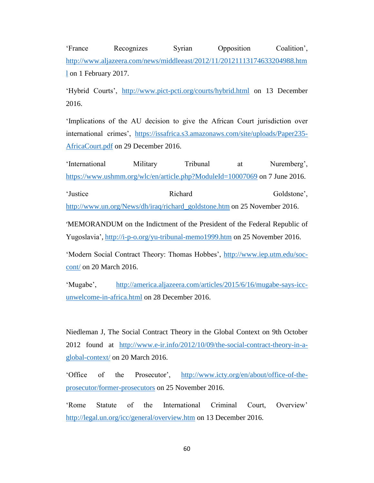'France Recognizes Syrian Opposition Coalition', [http://www.aljazeera.com/news/middleeast/2012/11/20121113174633204988.htm](http://www.aljazeera.com/news/middleeast/2012/11/20121113174633204988.html) [l](http://www.aljazeera.com/news/middleeast/2012/11/20121113174633204988.html) on 1 February 2017.

'Hybrid Courts', <http://www.pict-pcti.org/courts/hybrid.html> on 13 December 2016.

'Implications of the AU decision to give the African Court jurisdiction over international crimes', [https://issafrica.s3.amazonaws.com/site/uploads/Paper235-](https://issafrica.s3.amazonaws.com/site/uploads/Paper235-AfricaCourt.pdf) [AfricaCourt.pdf](https://issafrica.s3.amazonaws.com/site/uploads/Paper235-AfricaCourt.pdf) on 29 December 2016.

'International Military Tribunal at Nuremberg', <https://www.ushmm.org/wlc/en/article.php?ModuleId=10007069> on 7 June 2016.

'Justice Richard Goldstone', [http://www.un.org/News/dh/iraq/richard\\_goldstone.htm](http://www.un.org/News/dh/iraq/richard_goldstone.htm) on 25 November 2016.

'MEMORANDUM on the Indictment of the President of the Federal Republic of Yugoslavia', <http://i-p-o.org/yu-tribunal-memo1999.htm> on 25 November 2016.

'Modern Social Contract Theory: Thomas Hobbes', [http://www.iep.utm.edu/soc](http://www.iep.utm.edu/soc-cont/)[cont/](http://www.iep.utm.edu/soc-cont/) on 20 March 2016.

'Mugabe', [http://america.aljazeera.com/articles/2015/6/16/mugabe-says-icc](http://america.aljazeera.com/articles/2015/6/16/mugabe-says-icc-unwelcome-in-africa.html)[unwelcome-in-africa.html](http://america.aljazeera.com/articles/2015/6/16/mugabe-says-icc-unwelcome-in-africa.html) on 28 December 2016.

Niedleman J, The Social Contract Theory in the Global Context on 9th October 2012 found at [http://www.e-ir.info/2012/10/09/the-social-contract-theory-in-a](http://www.e-ir.info/2012/10/09/the-social-contract-theory-in-a-global-context/)[global-context/](http://www.e-ir.info/2012/10/09/the-social-contract-theory-in-a-global-context/) on 20 March 2016.

'Office of the Prosecutor', [http://www.icty.org/en/about/office-of-the](http://www.icty.org/en/about/office-of-the-prosecutor/former-prosecutors)[prosecutor/former-prosecutors](http://www.icty.org/en/about/office-of-the-prosecutor/former-prosecutors) on 25 November 2016.

'Rome Statute of the International Criminal Court, Overview' <http://legal.un.org/icc/general/overview.htm> on 13 December 2016.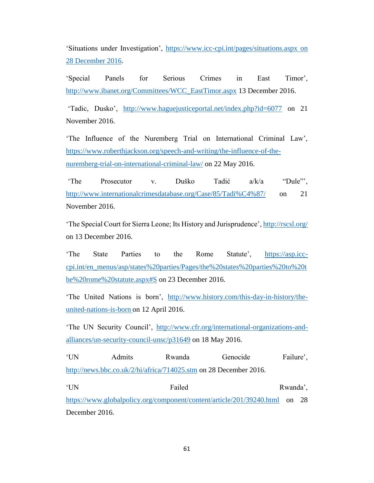'Situations under Investigation', [https://www.icc-cpi.int/pages/situations.aspx on](https://www.icc-cpi.int/pages/situations.aspx%20on%2028%20December%202016)  [28 December 2016.](https://www.icc-cpi.int/pages/situations.aspx%20on%2028%20December%202016)

'Special Panels for Serious Crimes in East Timor', [http://www.ibanet.org/Committees/WCC\\_EastTimor.aspx](http://www.ibanet.org/Committees/WCC_EastTimor.aspx) 13 December 2016.

'Tadic, Dusko', <http://www.haguejusticeportal.net/index.php?id=6077> on 21 November 2016.

'The Influence of the Nuremberg Trial on International Criminal Law', [https://www.roberthjackson.org/speech-and-writing/the-influence-of-the](https://www.roberthjackson.org/speech-and-writing/the-influence-of-the-nuremberg-trial-on-international-criminal-law/)[nuremberg-trial-on-international-criminal-law/](https://www.roberthjackson.org/speech-and-writing/the-influence-of-the-nuremberg-trial-on-international-criminal-law/) on 22 May 2016.

'The Prosecutor v. Duško Tadić a/k/a "Dule"', <http://www.internationalcrimesdatabase.org/Case/85/Tadi%C4%87/> on 21 November 2016.

'The Special Court for Sierra Leone; Its History and Jurisprudence',<http://rscsl.org/> on 13 December 2016.

'The State Parties to the Rome Statute', [https://asp.icc](https://asp.icc-cpi.int/en_menus/asp/states%20parties/Pages/the%20states%20parties%20to%20the%20rome%20statute.aspx#S)[cpi.int/en\\_menus/asp/states%20parties/Pages/the%20states%20parties%20to%20t](https://asp.icc-cpi.int/en_menus/asp/states%20parties/Pages/the%20states%20parties%20to%20the%20rome%20statute.aspx#S) [he%20rome%20statute.aspx#S](https://asp.icc-cpi.int/en_menus/asp/states%20parties/Pages/the%20states%20parties%20to%20the%20rome%20statute.aspx#S) on 23 December 2016.

'The United Nations is born', [http://www.history.com/this-day-in-history/the](http://www.history.com/this-day-in-history/the-united-nations-is-born)[united-nations-is-born](http://www.history.com/this-day-in-history/the-united-nations-is-born) on 12 April 2016.

'The UN Security Council', [http://www.cfr.org/international-organizations-and](http://www.cfr.org/international-organizations-and-alliances/un-security-council-unsc/p31649)[alliances/un-security-council-unsc/p31649](http://www.cfr.org/international-organizations-and-alliances/un-security-council-unsc/p31649) on 18 May 2016.

'UN Admits Rwanda Genocide Failure', <http://news.bbc.co.uk/2/hi/africa/714025.stm> on 28 December 2016.

'UN Failed Rwanda', <https://www.globalpolicy.org/component/content/article/201/39240.html> on 28 December 2016.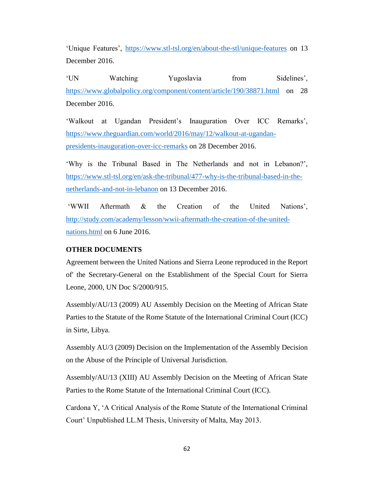'Unique Features', <https://www.stl-tsl.org/en/about-the-stl/unique-features> on 13 December 2016.

'UN Watching Yugoslavia from Sidelines', <https://www.globalpolicy.org/component/content/article/190/38871.html> on 28 December 2016.

'Walkout at Ugandan President's Inauguration Over ICC Remarks', [https://www.theguardian.com/world/2016/may/12/walkout-at-ugandan](https://www.theguardian.com/world/2016/may/12/walkout-at-ugandan-presidents-inauguration-over-icc-remarks)[presidents-inauguration-over-icc-remarks](https://www.theguardian.com/world/2016/may/12/walkout-at-ugandan-presidents-inauguration-over-icc-remarks) on 28 December 2016.

'Why is the Tribunal Based in The Netherlands and not in Lebanon?', [https://www.stl-tsl.org/en/ask-the-tribunal/477-why-is-the-tribunal-based-in-the](https://www.stl-tsl.org/en/ask-the-tribunal/477-why-is-the-tribunal-based-in-the-netherlands-and-not-in-lebanon)[netherlands-and-not-in-lebanon](https://www.stl-tsl.org/en/ask-the-tribunal/477-why-is-the-tribunal-based-in-the-netherlands-and-not-in-lebanon) on 13 December 2016.

'WWII Aftermath & the Creation of the United Nations', [http://study.com/academy/lesson/wwii-aftermath-the-creation-of-the-united](http://study.com/academy/lesson/wwii-aftermath-the-creation-of-the-united-nations.html)[nations.html](http://study.com/academy/lesson/wwii-aftermath-the-creation-of-the-united-nations.html) on 6 June 2016.

## **OTHER DOCUMENTS**

Agreement between the United Nations and Sierra Leone reproduced in the Report of' the Secretary-General on the Establishment of the Special Court for Sierra Leone, 2000, UN Doc S/2000/915.

Assembly/AU/13 (2009) AU Assembly Decision on the Meeting of African State Parties to the Statute of the Rome Statute of the International Criminal Court (ICC) in Sirte, Libya.

Assembly AU/3 (2009) Decision on the Implementation of the Assembly Decision on the Abuse of the Principle of Universal Jurisdiction.

Assembly/AU/13 (XIII) AU Assembly Decision on the Meeting of African State Parties to the Rome Statute of the International Criminal Court (ICC).

Cardona Y, 'A Critical Analysis of the Rome Statute of the International Criminal Court' Unpublished LL.M Thesis, University of Malta, May 2013.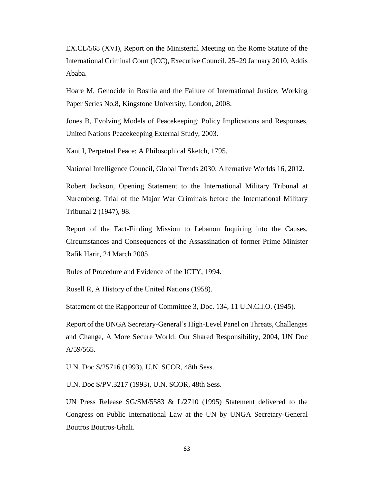EX.CL/568 (XVI), Report on the Ministerial Meeting on the Rome Statute of the International Criminal Court (ICC), Executive Council, 25–29 January 2010, Addis Ababa.

Hoare M, Genocide in Bosnia and the Failure of International Justice, Working Paper Series No.8, Kingstone University, London, 2008.

Jones B, Evolving Models of Peacekeeping: Policy Implications and Responses, United Nations Peacekeeping External Study, 2003.

Kant I, Perpetual Peace: A Philosophical Sketch, 1795.

National Intelligence Council, Global Trends 2030: Alternative Worlds 16, 2012.

Robert Jackson, Opening Statement to the International Military Tribunal at Nuremberg, Trial of the Major War Criminals before the International Military Tribunal 2 (1947), 98.

Report of the Fact-Finding Mission to Lebanon Inquiring into the Causes, Circumstances and Consequences of the Assassination of former Prime Minister Rafik Harir, 24 March 2005.

Rules of Procedure and Evidence of the ICTY, 1994.

Rusell R, A History of the United Nations (1958).

Statement of the Rapporteur of Committee 3, Doc. 134, 11 U.N.C.I.O. (1945).

Report of the UNGA Secretary-General's High-Level Panel on Threats, Challenges and Change, A More Secure World: Our Shared Responsibility, 2004, UN Doc A/59/565.

U.N. Doc S/25716 (1993), U.N. SCOR, 48th Sess.

U.N. Doc S/PV.3217 (1993), U.N. SCOR, 48th Sess.

UN Press Release SG/SM/5583 & L/2710 (1995) Statement delivered to the Congress on Public International Law at the UN by UNGA Secretary-General Boutros Boutros-Ghali.